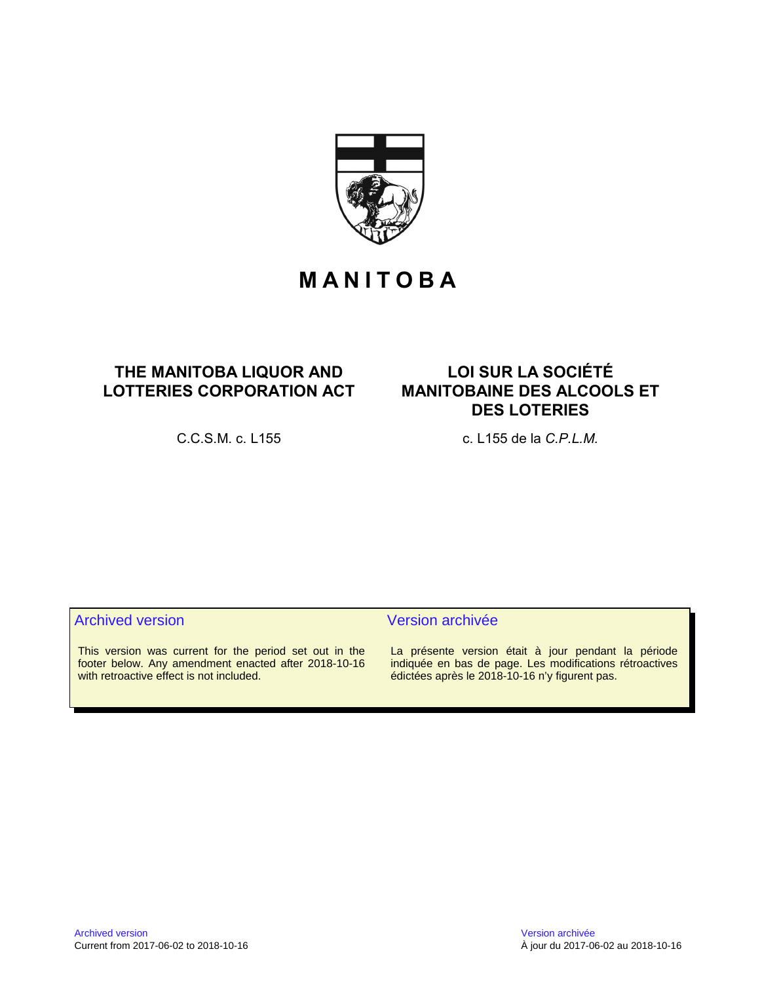

# **M A N I T O B A**

# **THE MANITOBA LIQUOR AND LOTTERIES CORPORATION ACT**

**LOI SUR LA SOCIÉTÉ MANITOBAINE DES ALCOOLS ET DES LOTERIES**

C.C.S.M. c. L155 c. L155 de la *C.P.L.M.*

This version was current for the period set out in the footer below. Any amendment enacted after 2018-10-16 with retroactive effect is not included.

# Archived version **Version** Version archivée

La présente version était à jour pendant la période indiquée en bas de page. Les modifications rétroactives édictées après le 2018-10-16 n'y figurent pas.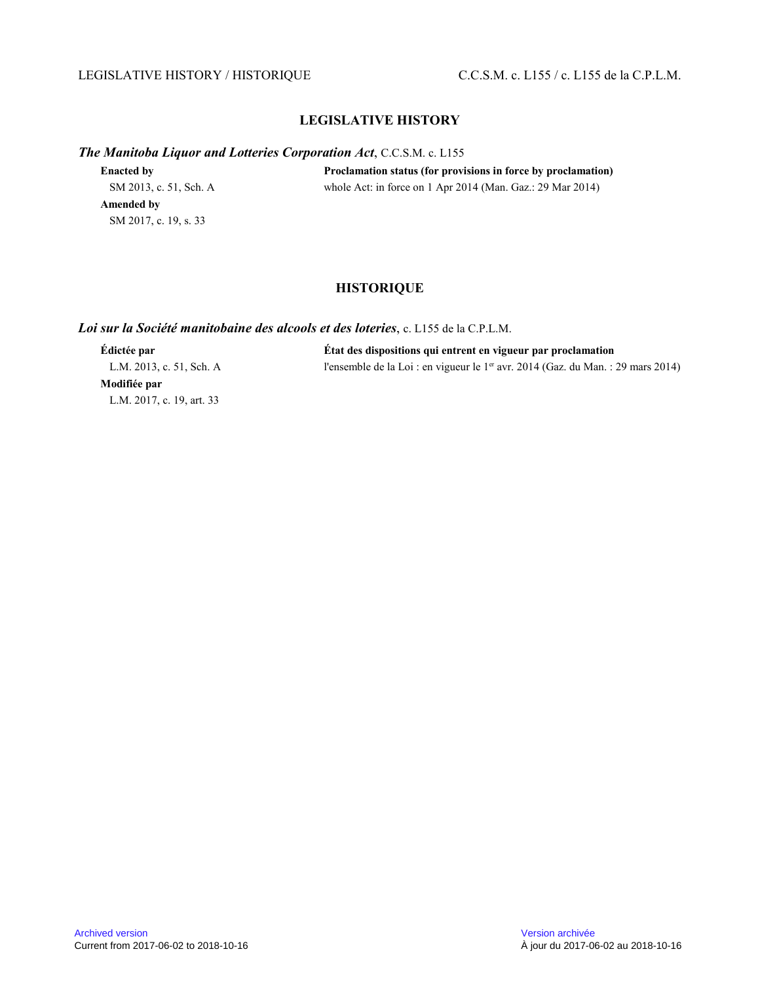# LEGISLATIVE HISTORY / HISTORIQUE C.C.S.M. c. L155 / c. L155 de la C.P.L.M.

# **LEGISLATIVE HISTORY**

*The Manitoba Liquor and Lotteries Corporation Act*, C.C.S.M. c. L155

| <b>Enacted by</b>      | Proclamation status (for provisions in force by proclamation) |
|------------------------|---------------------------------------------------------------|
| SM 2013, c. 51, Sch. A | whole Act: in force on 1 Apr 2014 (Man. Gaz.: $29$ Mar 2014)  |
| Amended by             |                                                               |
| SM 2017, c. 19, s. 33  |                                                               |

# **HISTORIQUE**

#### *Loi sur la Société manitobaine des alcools et des loteries*, c. L155 de la C.P.L.M.

**Modifiée par** L.M. 2017, c. 19, art. 33

**Édictée par État des dispositions qui entrent en vigueur par proclamation** L.M. 2013, c. 51, Sch. A l'ensemble de la Loi : en vigueur le 1<sup>er</sup> avr. 2014 (Gaz. du Man. : 29 mars 2014)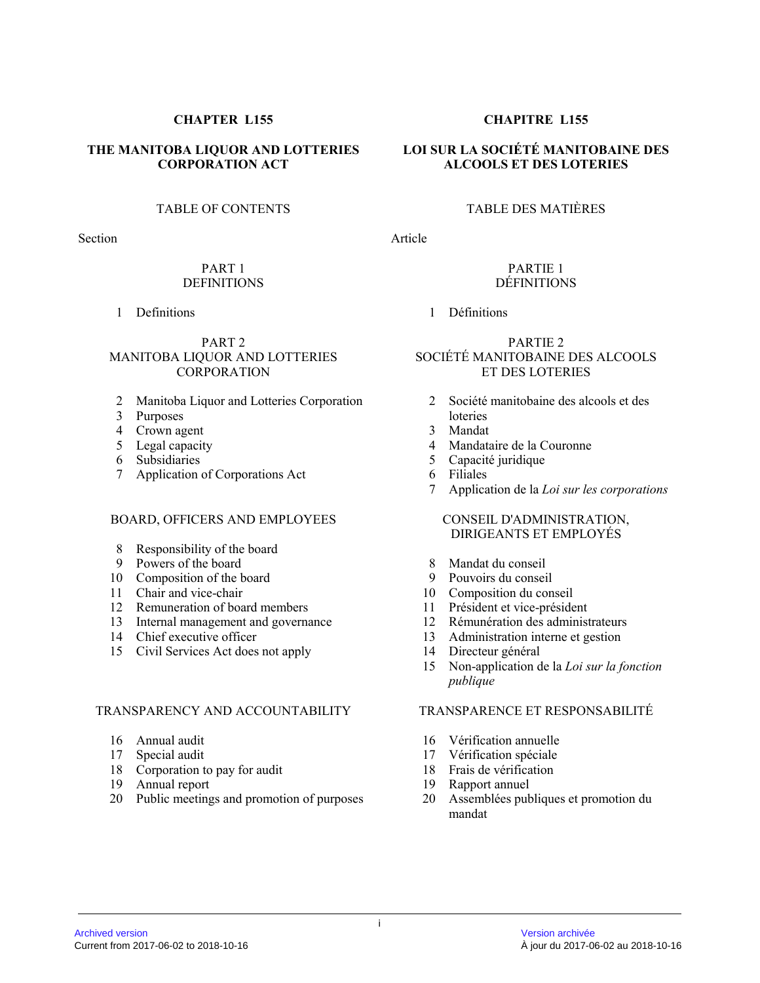#### Archived version Version archivée Current from 2017-06-02 to 2018-10-16 À jour du 2017-06-02 au 2018-10-16

**THE MANITOBA LIQUOR AND LOTTERIES CORPORATION ACT**

# TABLE OF CONTENTS

Section

# PART 1 DEFINITIONS

1 Definitions

## PART 2 MANITOBA LIQUOR AND LOTTERIES CORPORATION

- 2 Manitoba Liquor and Lotteries Corporation
- 3 Purposes
- 4 Crown agent
- 5 Legal capacity
- 6 Subsidiaries
- 7 Application of Corporations Act

# BOARD, OFFICERS AND EMPLOYEES

- 8 Responsibility of the board
- 9 Powers of the board
- 10 Composition of the board
- 11 Chair and vice-chair
- 12 Remuneration of board members
- 13 Internal management and governance
- 14 Chief executive officer
- 15 Civil Services Act does not apply

# TRANSPARENCY AND ACCOUNTABILITY

- 16 Annual audit
- 17 Special audit
- 18 Corporation to pay for audit
- 19 Annual report
- 20 Public meetings and promotion of purposes

# **CHAPTER L155 CHAPITRE L155**

# **LOI SUR LA SOCIÉTÉ MANITOBAINE DES ALCOOLS ET DES LOTERIES**

# TABLE DES MATIÈRES

Article

#### PARTIE 1 DÉFINITIONS

# 1 Définitions

# PARTIE 2 SOCIÉTÉ MANITOBAINE DES ALCOOLS ET DES LOTERIES

- 2 Société manitobaine des alcools et des loteries
- 3 Mandat
- 4 Mandataire de la Couronne
- 5 Capacité juridique
- 6 Filiales
- 7 Application de la *Loi sur les corporations*

# CONSEIL D'ADMINISTRATION, DIRIGEANTS ET EMPLOYÉS

- 8 Mandat du conseil
- 
- 9 Pouvoirs du conseil<br>10 Composition du con Composition du conseil
- 11 Président et vice-président
- 12 Rémunération des administrateurs
- 13 Administration interne et gestion
- 14 Directeur général
- 15 Non-application de la *Loi sur la fonction publique*

# TRANSPARENCE ET RESPONSABILITÉ

- 16 Vérification annuelle
- 17 Vérification spéciale
- 18 Frais de vérification
- 19 Rapport annuel
- 20 Assemblées publiques et promotion du mandat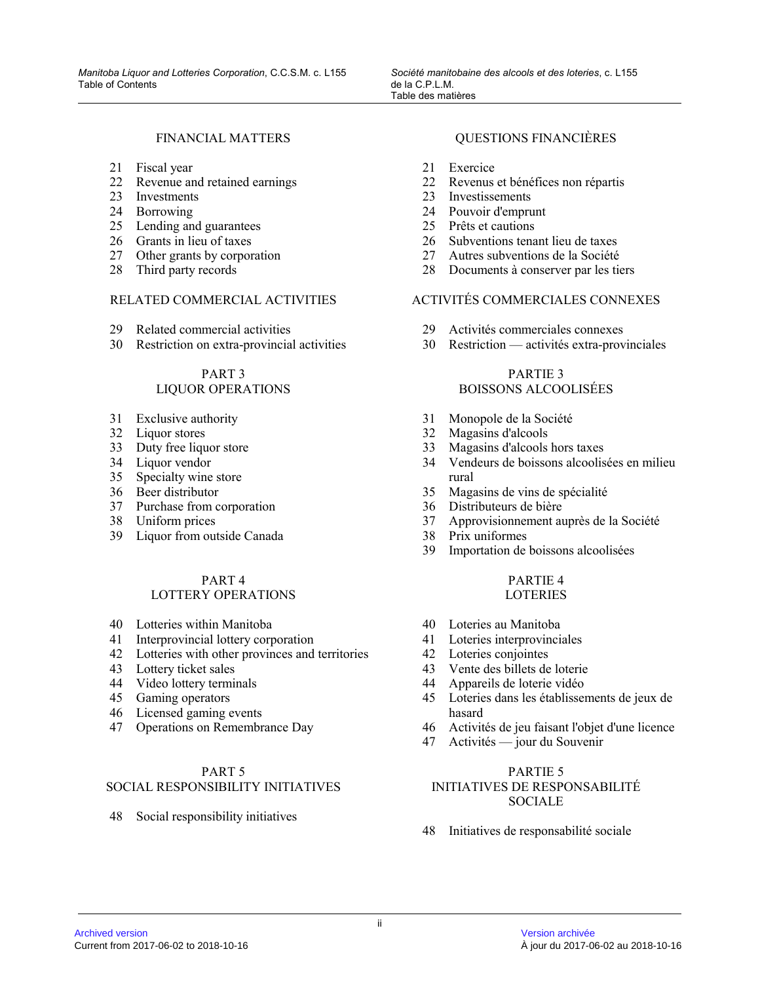### FINANCIAL MATTERS

- 21 Fiscal year
- 22 Revenue and retained earnings
- 23 Investments
- 24 Borrowing
- 25 Lending and guarantees
- 26 Grants in lieu of taxes
- 27 Other grants by corporation
- 28 Third party records

# RELATED COMMERCIAL ACTIVITIES

- 29 Related commercial activities
- 30 Restriction on extra-provincial activities

#### PART 3 LIQUOR OPERATIONS

- 31 Exclusive authority
- 32 Liquor stores
- 33 Duty free liquor store
- 34 Liquor vendor
- 35 Specialty wine store
- 36 Beer distributor
- 37 Purchase from corporation
- 38 Uniform prices
- 39 Liquor from outside Canada

# PART 4

# LOTTERY OPERATIONS

- 40 Lotteries within Manitoba
- 41 Interprovincial lottery corporation
- 42 Lotteries with other provinces and territories
- 43 Lottery ticket sales
- 44 Video lottery terminals
- 45 Gaming operators
- 46 Licensed gaming events
- 47 Operations on Remembrance Day

# PART 5

# SOCIAL RESPONSIBILITY INITIATIVES

48 Social responsibility initiatives

# QUESTIONS FINANCIÈRES

- 21 Exercice
- 22 Revenus et bénéfices non répartis
- 23 Investissements
- 24 Pouvoir d'emprunt
- 25 Prêts et cautions
- 26 Subventions tenant lieu de taxes
- 27 Autres subventions de la Société
- 28 Documents à conserver par les tiers

# ACTIVITÉS COMMERCIALES CONNEXES

- 29 Activités commerciales connexes
- 30 Restriction activités extra-provinciales

# PARTIE 3 BOISSONS ALCOOLISÉES

- 31 Monopole de la Société
- 32 Magasins d'alcools
- 33 Magasins d'alcools hors taxes
- 34 Vendeurs de boissons alcoolisées en milieu rural
- 35 Magasins de vins de spécialité
- 36 Distributeurs de bière
- 37 Approvisionnement auprès de la Société
- 38 Prix uniformes
- 39 Importation de boissons alcoolisées

#### PARTIE 4 **LOTERIES**

- 40 Loteries au Manitoba
- 41 Loteries interprovinciales
- 42 Loteries conjointes
- 43 Vente des billets de loterie
- 44 Appareils de loterie vidéo
- 45 Loteries dans les établissements de jeux de hasard
- 46 Activités de jeu faisant l'objet d'une licence
- 47 Activités jour du Souvenir

# PARTIE 5

# INITIATIVES DE RESPONSABILITÉ **SOCIALE**

48 Initiatives de responsabilité sociale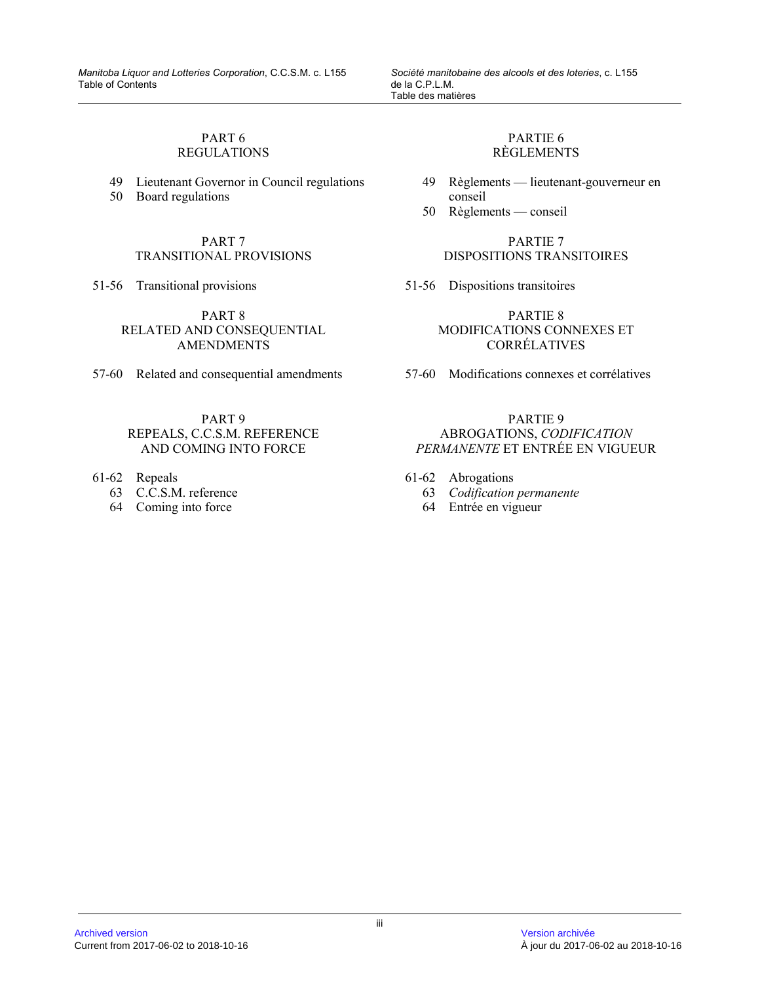# PART 6 REGULATIONS

- 49 Lieutenant Governor in Council regulations
- 50 Board regulations

PART 7 TRANSITIONAL PROVISIONS

51-56 Transitional provisions

PART 8 RELATED AND CONSEQUENTIAL **AMENDMENTS** 

57-60 Related and consequential amendments

## PART 9 REPEALS, C.C.S.M. REFERENCE AND COMING INTO FORCE

- 61-62 Repeals
	- 63 C.C.S.M. reference
	- 64 Coming into force

# PARTIE 6 RÈGLEMENTS

- 49 Règlements lieutenant-gouverneur en conseil
- 50 Règlements conseil

# PARTIE 7 DISPOSITIONS TRANSITOIRES

51-56 Dispositions transitoires

PARTIE 8 MODIFICATIONS CONNEXES ET CORRÉLATIVES

57-60 Modifications connexes et corrélatives

### PARTIE 9 ABROGATIONS, *CODIFICATION PERMANENTE* ET ENTRÉE EN VIGUEUR

- 61-62 Abrogations
	- 63 *Codification permanente*
	- 64 Entrée en vigueur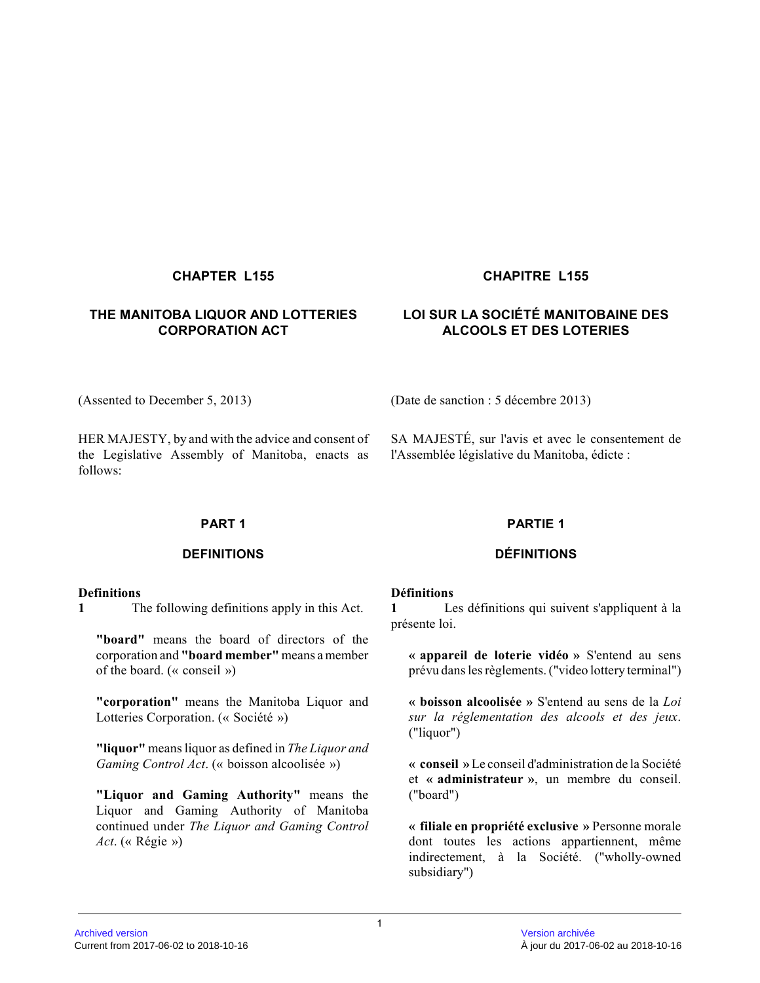# **THE MANITOBA LIQUOR AND LOTTERIES CORPORATION ACT**

# **CHAPTER L155 CHAPITRE L155**

# **LOI SUR LA SOCIÉTÉ MANITOBAINE DES ALCOOLS ET DES LOTERIES**

(Assented to December 5, 2013) (Date de sanction : 5 décembre 2013)

HER MAJESTY, by and with the advice and consent of the Legislative Assembly of Manitoba, enacts as follows:

SA MAJESTÉ, sur l'avis et avec le consentement de l'Assemblée législative du Manitoba, édicte :

# **PART 1**

# **DEFINITIONS**

#### **Definitions**

**1** The following definitions apply in this Act.

**"board"** means the board of directors of the corporation and **"board member"** means a member of the board. (« conseil »)

**"corporation"** means the Manitoba Liquor and Lotteries Corporation. (« Société »)

**"liquor"** means liquor as defined in *The Liquor and Gaming Control Act*. (« boisson alcoolisée »)

**"Liquor and Gaming Authority"** means the Liquor and Gaming Authority of Manitoba continued under *The Liquor and Gaming Control Act*. (« Régie »)

#### **PARTIE 1**

# **DÉFINITIONS**

#### **Définitions**

**1** Les définitions qui suivent s'appliquent à la présente loi.

**« appareil de loterie vidéo »** S'entend au sens prévu dans les règlements. ("video lottery terminal")

**« boisson alcoolisée »** S'entend au sens de la *Loi sur la réglementation des alcools et des jeux* . ("liquor")

**« conseil »** Le conseil d'administration de la Société et **« administrateur »**, un membre du conseil. ("board")

**« filiale en propriété exclusive »** Personne morale dont toutes les actions appartiennent, même indirectement, à la Société. ("wholly-owned subsidiary")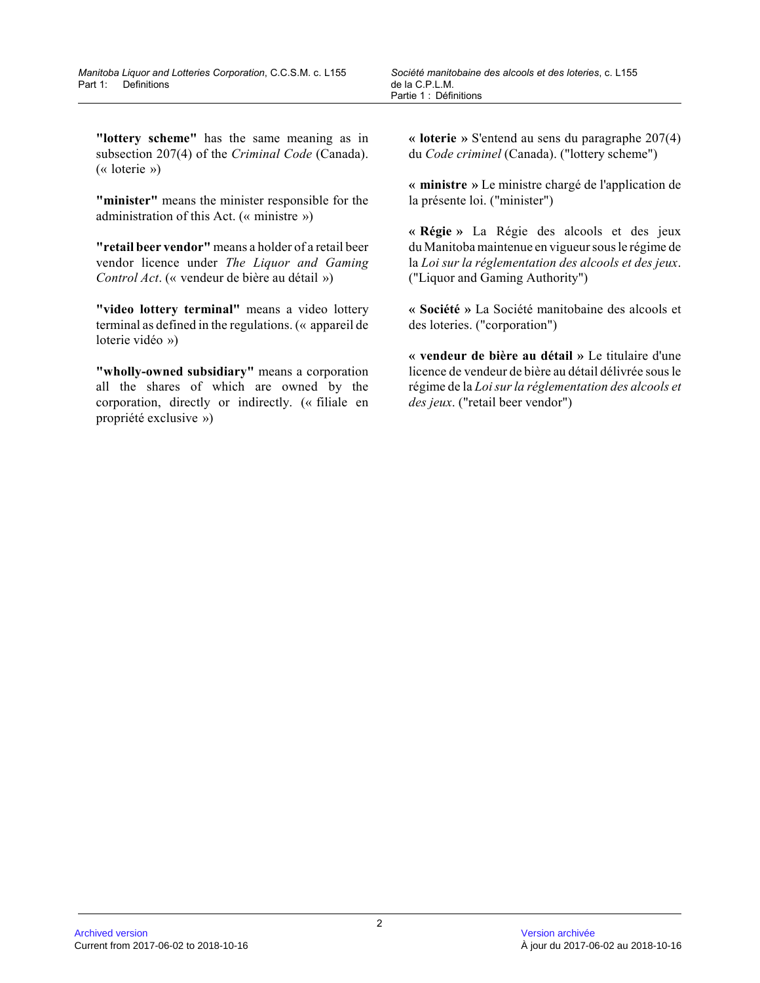**"lottery scheme"** has the same meaning as in subsection 207(4) of the *Criminal Code* (Canada). (« loterie »)

**"minister"** means the minister responsible for the administration of this Act. (« ministre »)

**"retail beer vendor"** means a holder of a retail beer vendor licence under *The Liquor and Gaming Control Act*. (« vendeur de bière au détail »)

**"video lottery terminal"** means a video lottery terminal as defined in the regulations. (« appareil de loterie vidéo »)

**"wholly-owned subsidiary"** means a corporation all the shares of which are owned by the corporation, directly or indirectly. (« filiale en propriété exclusive »)

**« loterie »** S'entend au sens du paragraphe 207(4) du *Code criminel* (Canada). ("lottery scheme")

**« ministre »** Le ministre chargé de l'application de la présente loi. ("minister")

**« Régie »** La Régie des alcools et des jeux du Manitoba maintenue en vigueur sous le régime de la *Loi sur la réglementation des alcools et des jeux* . ("Liquor and Gaming Authority")

**« Société »** La Société manitobaine des alcools et des loteries. ("corporation")

**« vendeur de bière au détail »** Le titulaire d'une licence de vendeur de bière au détail délivrée sous l e régime de la *Loi sur la réglementation des alcools et des jeux*. ("retail beer vendor")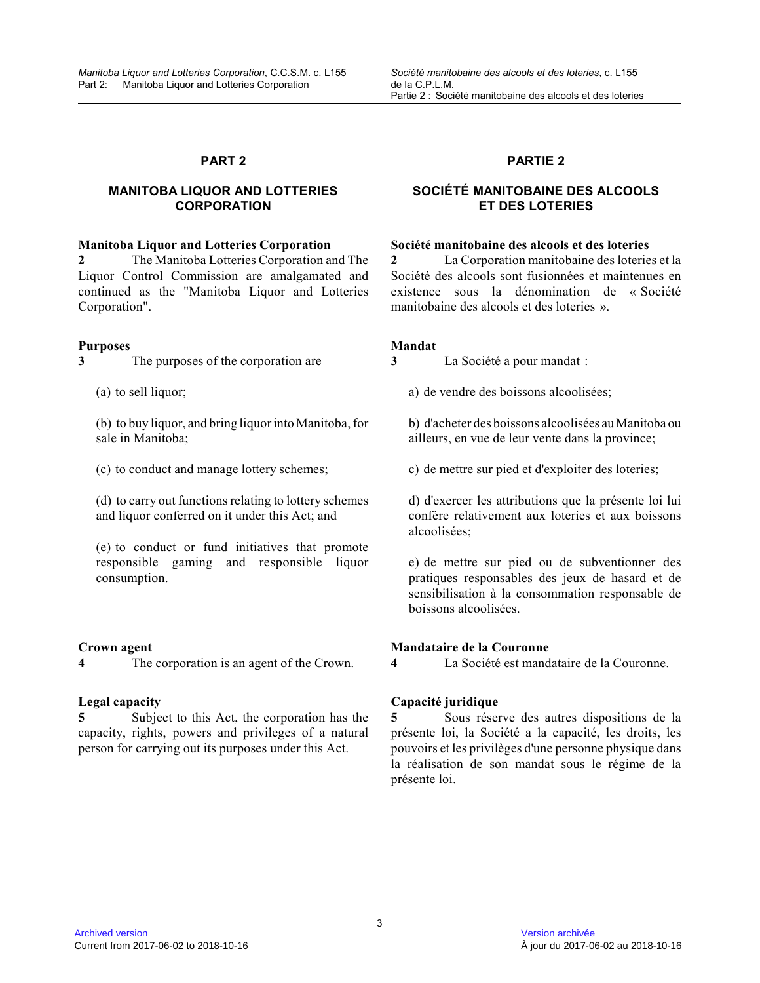# **MANITOBA LIQUOR AND LOTTERIES CORPORATION**

#### **Manitoba Liquor and Lotteries Corporation**

**2** The Manitoba Lotteries Corporation and The Liquor Control Commission are amalgamated and continued as the "Manitoba Liquor and Lotteries Corporation".

# **Purposes**

**3** The purposes of the corporation are

(a) to sell liquor;

(b) to buy liquor, and bring liquor into Manitoba, for sale in Manitoba;

(c) to conduct and manage lottery schemes;

(d) to carry out functions relating to lottery schemes and liquor conferred on it under this Act; and

(e) to conduct or fund initiatives that promote responsible gaming and responsible liquor consumption.

#### **Crown agent**

**4** The corporation is an agent of the Crown.

# **Legal capacity**

**5** Subject to this Act, the corporation has the capacity, rights, powers and privileges of a natural person for carrying out its purposes under this Act .

# **PARTIE 2**

# **SOCIÉTÉ MANITOBAINE DES ALCOOLS ET DES LOTERIES**

#### **Société manitobaine des alcools et des loteries**

**2** La Corporation manitobaine des loteries et la Société des alcools sont fusionnées et maintenues e n existence sous la dénomination de « Société manitobaine des alcools et des loteries ».

# **Mandat**

**3** La Société a pour mandat :

a) de vendre des boissons alcoolisées;

b) d'acheter des boissons alcoolisées au Manitoba ou ailleurs, en vue de leur vente dans la province;

c) de mettre sur pied et d'exploiter des loteries;

d) d'exercer les attributions que la présente loi lu i confère relativement aux loteries et aux boissons alcoolisées;

e) de mettre sur pied ou de subventionner des pratiques responsables des jeux de hasard et de sensibilisation à la consommation responsable de boissons alcoolisées.

# **Mandataire de la Couronne**

**4** La Société est mandataire de la Couronne.

# **Capacité juridique**

**5** Sous réserve des autres dispositions de la présente loi, la Société a la capacité, les droits, les pouvoirs et les privilèges d'une personne physique dans la réalisation de son mandat sous le régime de la présente loi.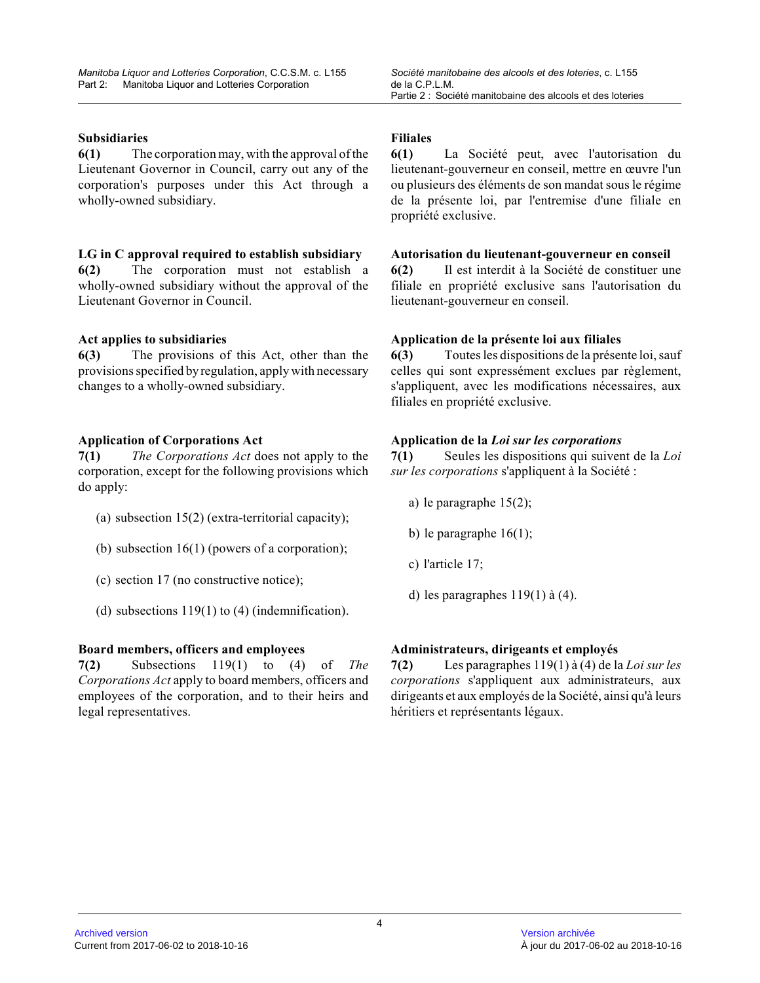# **Subsidiaries**

**6(1)** The corporation may, with the approval of the Lieutenant Governor in Council, carry out any of the corporation's purposes under this Act through a wholly-owned subsidiary.

# **LG in C approval required to establish subsidiary**

**6(2)** The corporation must not establish a wholly-owned subsidiary without the approval of the Lieutenant Governor in Council.

# **Act applies to subsidiaries**

**6(3)** The provisions of this Act, other than the provisions specified by regulation, apply with necessar y changes to a wholly-owned subsidiary.

# **Application of Corporations Act**

**7(1)** *The Corporations Act* does not apply to the corporation, except for the following provisions which do apply:

- (a) subsection 15(2) (extra-territorial capacity);
- (b) subsection 16(1) (powers of a corporation);
- (c) section 17 (no constructive notice);
- (d) subsections 119(1) to (4) (indemnification).

# **Board members, officers and employees**

**7(2)** Subsections 119(1) to (4) of *The Corporations Act* apply to board members, officers and employees of the corporation, and to their heirs an d legal representatives.

### **Filiales**

**6(1)** La Société peut, avec l'autorisation du lieutenant-gouverneur en conseil, mettre en œuvre l'un ou plusieurs des éléments de son mandat sous le régime de la présente loi, par l'entremise d'une filiale e n propriété exclusive.

# **Autorisation du lieutenant-gouverneur en conseil**

**6(2)** Il est interdit à la Société de constituer une filiale en propriété exclusive sans l'autorisation d u lieutenant-gouverneur en conseil.

# **Application de la présente loi aux filiales**

**6(3)** Toutes les dispositions de la présente loi, sauf celles qui sont expressément exclues par règlement, s'appliquent, avec les modifications nécessaires, au x filiales en propriété exclusive.

# **Application de la** *Loi sur les corporations*

**7(1)** Seules les dispositions qui suivent de la *Loi sur les corporations* s'appliquent à la Société :

- a) le paragraphe 15(2);
- b) le paragraphe  $16(1)$ ;
- c) l'article 17;
- d) les paragraphes 119(1) à (4).

# **Administrateurs, dirigeants et employés**

**7(2)** Les paragraphes 119(1) à (4) de la *Loi sur les corporations* s'appliquent aux administrateurs, aux dirigeants et aux employés de la Société, ainsi qu'à leurs héritiers et représentants légaux.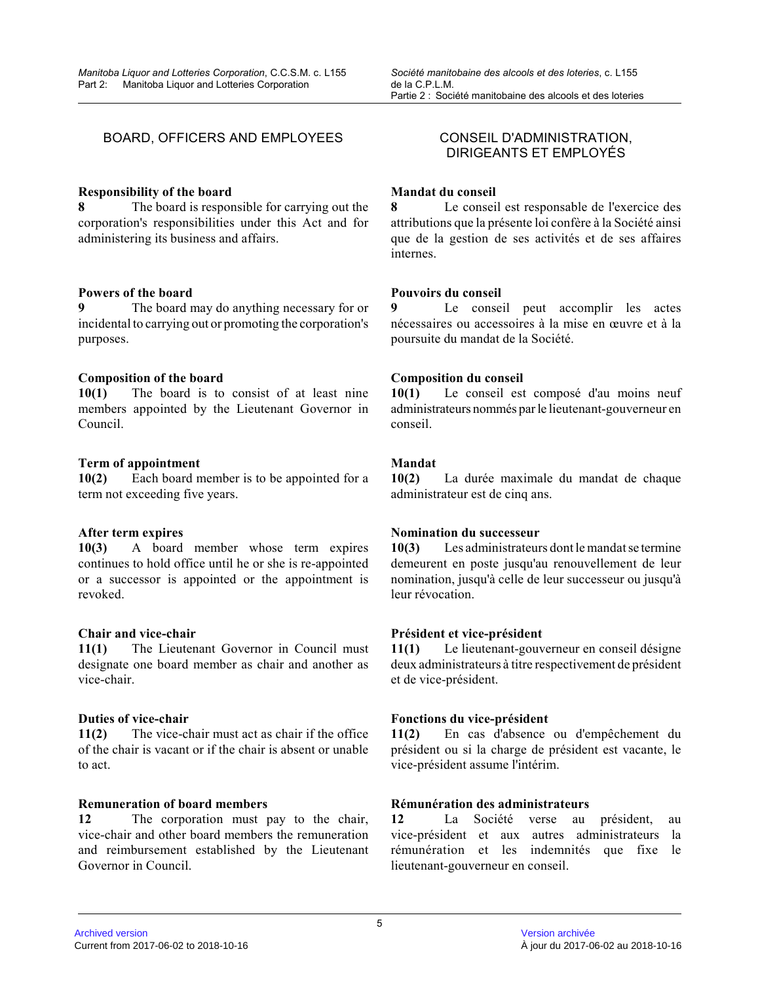# BOARD, OFFICERS AND EMPLOYEES CONSEIL D'ADMINISTRATION,

#### **Responsibility of the board**

**8** The board is responsible for carrying out the corporation's responsibilities under this Act and for administering its business and affairs.

#### **Powers of the board**

**9** The board may do anything necessary for or incidental to carrying out or promoting the corporation's purposes.

#### **Composition of the board**

**10(1)** The board is to consist of at least nine members appointed by the Lieutenant Governor in Council.

#### **Term of appointment**

**10(2)** Each board member is to be appointed for a term not exceeding five years.

#### **After term expires**

**10(3)** A board member whose term expires continues to hold office until he or she is re-appointed or a successor is appointed or the appointment is revoked.

#### **Chair and vice-chair**

**11(1)** The Lieutenant Governor in Council must designate one board member as chair and another as vice-chair.

#### **Duties of vice-chair**

**11(2)** The vice-chair must act as chair if the office of the chair is vacant or if the chair is absent or unable to act.

#### **Remuneration of board members**

**12** The corporation must pay to the chair, vice-chair and other board members the remuneration and reimbursement established by the Lieutenant Governor in Council.

# DIRIGEANTS ET EMPLOYÉS

#### **Mandat du conseil**

**8** Le conseil est responsable de l'exercice des attributions que la présente loi confère à la Société ainsi que de la gestion de ses activités et de ses affaire s internes.

#### **Pouvoirs du conseil**

**9** Le conseil peut accomplir les actes nécessaires ou accessoires à la mise en œuvre et à l a poursuite du mandat de la Société.

#### **Composition du conseil**

**10(1)** Le conseil est composé d'au moins neuf administrateurs nommés par le lieutenant-gouverneur en conseil.

### **Mandat**

**10(2)** La durée maximale du mandat de chaque administrateur est de cinq ans.

# **Nomination du successeur**

**10(3)** Les administrateurs dont le mandat se termine demeurent en poste jusqu'au renouvellement de leur nomination, jusqu'à celle de leur successeur ou jusqu'à leur révocation.

#### **Président et vice-président**

**11(1)** Le lieutenant-gouverneur en conseil désigne deux administrateurs à titre respectivement de président et de vice-président.

#### **Fonctions du vice-président**

**11(2)** En cas d'absence ou d'empêchement du président ou si la charge de président est vacante, le vice-président assume l'intérim.

#### **Rémunération des administrateurs**

**12** La Société verse au président, au vice-président et aux autres administrateurs la rémunération et les indemnités que fixe le lieutenant-gouverneur en conseil.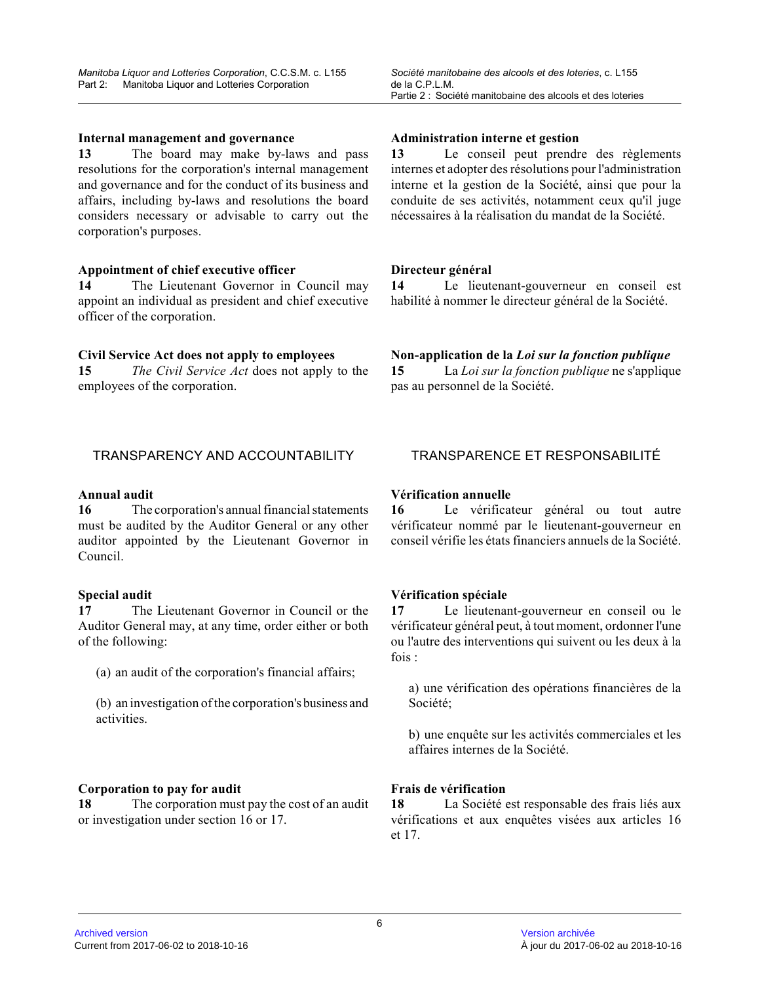#### **Internal management and governance**

**13** The board may make by-laws and pass resolutions for the corporation's internal management and governance and for the conduct of its business and affairs, including by-laws and resolutions the boar d considers necessary or advisable to carry out the corporation's purposes.

#### **Appointment of chief executive officer**

**14** The Lieutenant Governor in Council may appoint an individual as president and chief executive officer of the corporation.

#### **Civil Service Act does not apply to employees**

**15** *The Civil Service Act* does not apply to the employees of the corporation.

#### **Administration interne et gestion**

*Société manitobaine des alcools et des loteries*, c. L155

Partie 2 : Société manitobaine des alcools et des loteries

**13** Le conseil peut prendre des règlements internes et adopter des résolutions pour l'administration interne et la gestion de la Société, ainsi que pour la conduite de ses activités, notamment ceux qu'il juge nécessaires à la réalisation du mandat de la Société.

#### **Directeur général**

de la C.P.L.M.

**14** Le lieutenant-gouverneur en conseil est habilité à nommer le directeur général de la Société.

#### **Non-application de la** *Loi sur la fonction publique*

**15** La *Loi sur la fonction publique* ne s'applique pas au personnel de la Société.

#### **Annual audit**

**16** The corporation's annual financial statements must be audited by the Auditor General or any other auditor appointed by the Lieutenant Governor in Council.

#### **Special audit**

**17** The Lieutenant Governor in Council or the Auditor General may, at any time, order either or both of the following:

(a) an audit of the corporation's financial affairs;

(b) an investigation of the corporation's business and activities.

#### **Corporation to pay for audit**

**18** The corporation must pay the cost of an audit or investigation under section 16 or 17.

# TRANSPARENCY AND ACCOUNTABILITY TRANSPARENCE ET RESPONSABILITÉ

#### **Vérification annuelle**

**16** Le vérificateur général ou tout autre vérificateur nommé par le lieutenant-gouverneur en conseil vérifie les états financiers annuels de la Société.

### **Vérification spéciale**

**17** Le lieutenant-gouverneur en conseil ou le vérificateur général peut, à tout moment, ordonner l'une ou l'autre des interventions qui suivent ou les deux à la fois :

a) une vérification des opérations financières de la Société;

b) une enquête sur les activités commerciales et les affaires internes de la Société.

#### **Frais de vérification**

**18** La Société est responsable des frais liés aux vérifications et aux enquêtes visées aux articles 16 et 17.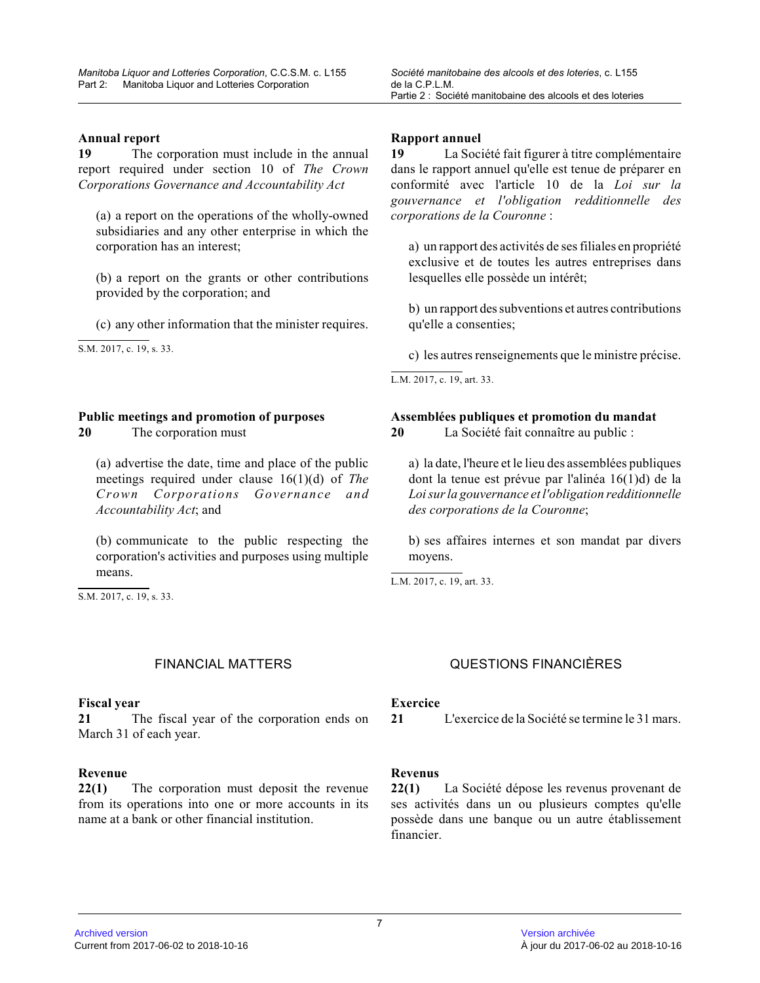**19** The corporation must include in the annual report required under section 10 of *The Crown Corporations Governance and Accountability Act*

(a) a report on the operations of the wholly-owned subsidiaries and any other enterprise in which the corporation has an interest;

(b) a report on the grants or other contributions provided by the corporation; and

(c) any other information that the minister requires .

 $\overline{S.M. 2017, c. 19, s. 33}.$ 

# **Public meetings and promotion of purposes**

**20** The corporation must

(a) advertise the date, time and place of the public meetings required under clause 16(1)(d) of *The Crown Corporations Governance and Accountability Act*; and

(b) communicate to the public respecting the corporation's activities and purposes using multiple means.

 $\overline{S.M. 2017, c. 19, s. 33}.$ 

#### **Fiscal year**

**21** The fiscal year of the corporation ends on March 31 of each year.

#### **Revenue**

**22(1)** The corporation must deposit the revenue from its operations into one or more accounts in its name at a bank or other financial institution.

de la C.P.L.M.

**19** La Société fait figurer à titre complémentaire dans le rapport annuel qu'elle est tenue de préparer en conformité avec l'article 10 de la *Loi sur la gouvernance et l'obligation redditionnelle des corporations de la Couronne* :

*Société manitobaine des alcools et des loteries*, c. L155

Partie 2 : Société manitobaine des alcools et des loteries

a) un rapport des activités de ses filiales en propriété exclusive et de toutes les autres entreprises dans lesquelles elle possède un intérêt;

b) un rapport des subventions et autres contributions qu'elle a consenties;

c) les autres renseignements que le ministre précise .

L.M. 2017, c. 19, art. 33.

**Assemblées publiques et promotion du mandat**

**20** La Société fait connaître au public :

a) la date, l'heure et le lieu des assemblées publiques dont la tenue est prévue par l'alinéa 16(1)d) de la *Loi sur la gouvernance et l'obligation redditionnell e des corporations de la Couronne* ;

b) ses affaires internes et son mandat par divers moyens.

L.M. 2017, c. 19, art. 33.

# FINANCIAL MATTERS QUESTIONS FINANCIÈRES

#### **Exercice**

**21** L'exercice de la Société se termine le 31 mars.

#### **Revenus**

**22(1)** La Société dépose les revenus provenant de ses activités dans un ou plusieurs comptes qu'elle possède dans une banque ou un autre établissement financier.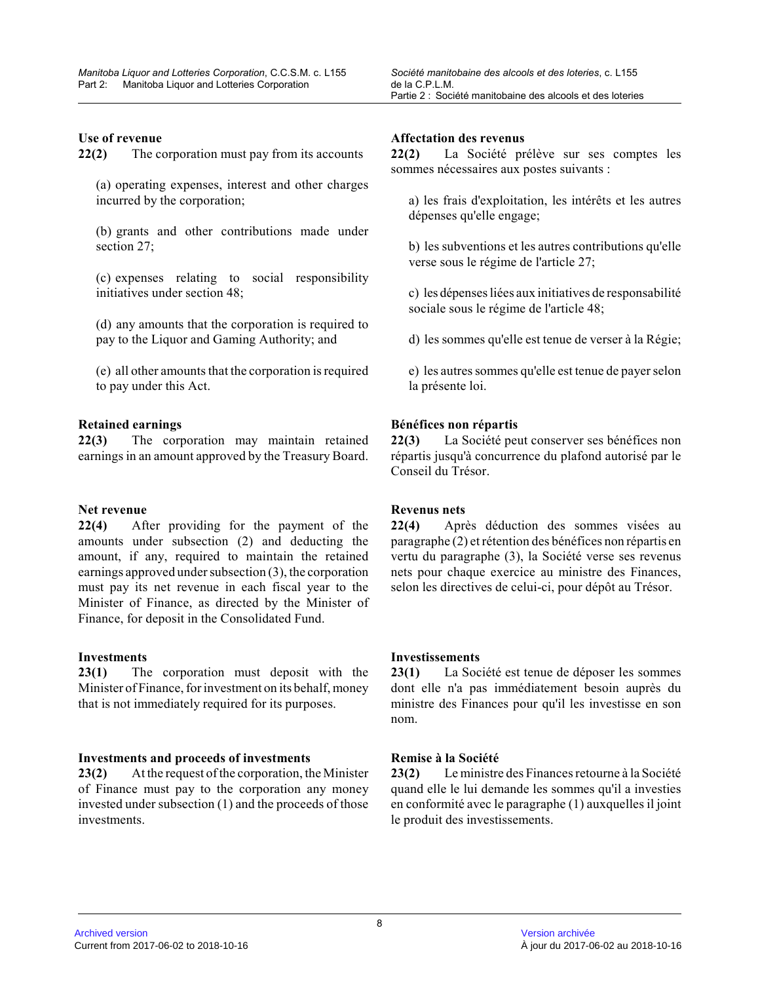**22(2)** The corporation must pay from its accounts

(a) operating expenses, interest and other charges incurred by the corporation;

(b) grants and other contributions made under section 27;

(c) expenses relating to social responsibility initiatives under section 48;

(d) any amounts that the corporation is required to pay to the Liquor and Gaming Authority; and

(e) all other amounts that the corporation is required to pay under this Act.

#### **Retained earnings**

**22(3)** The corporation may maintain retained earnings in an amount approved by the Treasury Board.

#### **Net revenue**

**22(4)** After providing for the payment of the amounts under subsection (2) and deducting the amount, if any, required to maintain the retained earnings approved under subsection (3), the corporation must pay its net revenue in each fiscal year to the Minister of Finance, as directed by the Minister of Finance, for deposit in the Consolidated Fund.

#### **Investments**

**23(1)** The corporation must deposit with the Minister of Finance, for investment on its behalf, money that is not immediately required for its purposes.

#### **Investments and proceeds of investments**

**23(2)** At the request of the corporation, the Minister of Finance must pay to the corporation any money invested under subsection (1) and the proceeds of those investments.

#### **Affectation des revenus**

**22(2)** La Société prélève sur ses comptes les sommes nécessaires aux postes suivants :

a) les frais d'exploitation, les intérêts et les autres dépenses qu'elle engage;

b) les subventions et les autres contributions qu'ell e verse sous le régime de l'article 27;

c) les dépenses liées aux initiatives de responsabilit é sociale sous le régime de l'article 48;

d) les sommes qu'elle est tenue de verser à la Régie;

e) les autres sommes qu'elle est tenue de payer selo n la présente loi.

#### **Bénéfices non répartis**

**22(3)** La Société peut conserver ses bénéfices non répartis jusqu'à concurrence du plafond autorisé par le Conseil du Trésor.

# **Revenus nets**

**22(4)** Après déduction des sommes visées au paragraphe (2) et rétention des bénéfices non répartis en vertu du paragraphe (3), la Société verse ses revenus nets pour chaque exercice au ministre des Finances, selon les directives de celui-ci, pour dépôt au Trésor.

### **Investissements**

**23(1)** La Société est tenue de déposer les sommes dont elle n'a pas immédiatement besoin auprès du ministre des Finances pour qu'il les investisse en son nom.

#### **Remise à la Société**

**23(2)** Le ministre des Finances retourne à la Société quand elle le lui demande les sommes qu'il a investies en conformité avec le paragraphe (1) auxquelles il joint le produit des investissements.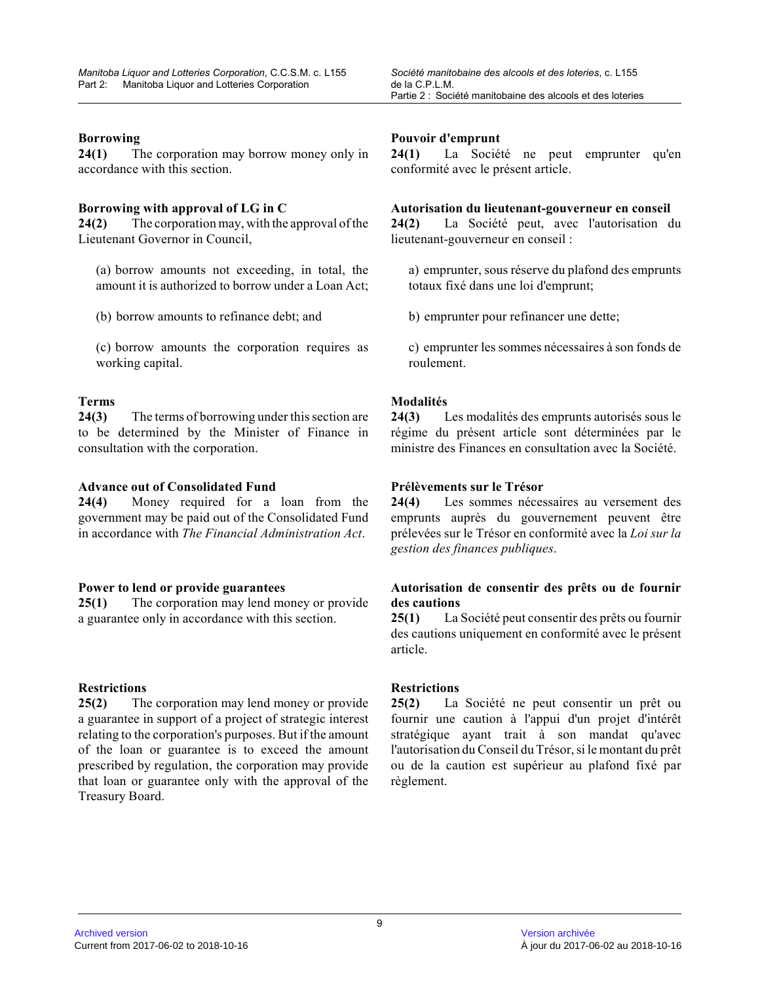#### **Borrowing**

**24(1)** The corporation may borrow money only in accordance with this section.

#### **Borrowing with approval of LG in C**

**24(2)** The corporation may, with the approval of the Lieutenant Governor in Council,

(a) borrow amounts not exceeding, in total, the amount it is authorized to borrow under a Loan Act;

(b) borrow amounts to refinance debt; and

(c) borrow amounts the corporation requires as working capital.

#### **Terms**

**24(3)** The terms of borrowing under this section are to be determined by the Minister of Finance in consultation with the corporation.

#### **Advance out of Consolidated Fund**

**24(4)** Money required for a loan from the government may be paid out of the Consolidated Fund in accordance with *The Financial Administration Act* .

#### **Power to lend or provide guarantees**

**25(1)** The corporation may lend money or provide a guarantee only in accordance with this section.

#### **Restrictions**

**25(2)** The corporation may lend money or provide a guarantee in support of a project of strategic interest relating to the corporation's purposes. But if the amount of the loan or guarantee is to exceed the amount prescribed by regulation, the corporation may provid e that loan or guarantee only with the approval of the Treasury Board.

#### **Pouvoir d'emprunt**

**24(1)** La Société ne peut emprunter qu'en conformité avec le présent article.

#### **Autorisation du lieutenant-gouverneur en conseil**

**24(2)** La Société peut, avec l'autorisation du lieutenant-gouverneur en conseil :

a) emprunter, sous réserve du plafond des emprunts totaux fixé dans une loi d'emprunt;

b) emprunter pour refinancer une dette;

c) emprunter les sommes nécessaires à son fonds de roulement.

#### **Modalités**

**24(3)** Les modalités des emprunts autorisés sous le régime du présent article sont déterminées par le ministre des Finances en consultation avec la Société.

#### **Prélèvements sur le Trésor**

**24(4)** Les sommes nécessaires au versement des emprunts auprès du gouvernement peuvent être prélevées sur le Trésor en conformité avec la *Loi sur la gestion des finances publiques* .

# **Autorisation de consentir des prêts ou de fournir des cautions**

**25(1)** La Société peut consentir des prêts ou fournir des cautions uniquement en conformité avec le présen t article.

#### **Restrictions**

**25(2)** La Société ne peut consentir un prêt ou fournir une caution à l'appui d'un projet d'intérêt stratégique ayant trait à son mandat qu'avec l'autorisation du Conseil du Trésor, si le montant du prêt ou de la caution est supérieur au plafond fixé par règlement.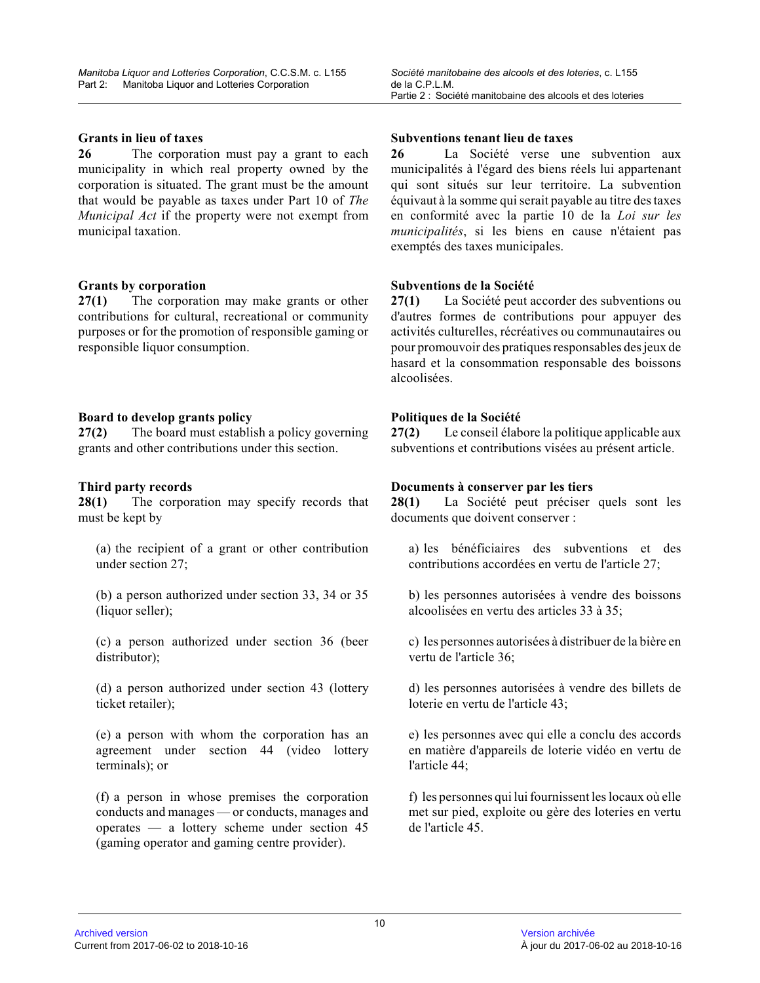# **Grants in lieu of taxes**

**26** The corporation must pay a grant to each municipality in which real property owned by the corporation is situated. The grant must be the amount that would be payable as taxes under Part 10 of *The Municipal Act* if the property were not exempt from municipal taxation.

# **Grants by corporation**

**27(1)** The corporation may make grants or other contributions for cultural, recreational or community purposes or for the promotion of responsible gaming or responsible liquor consumption.

# **Board to develop grants policy**

**27(2)** The board must establish a policy governing grants and other contributions under this section.

# **Third party records**

**28(1)** The corporation may specify records that must be kept by

(a) the recipient of a grant or other contribution under section 27;

(b) a person authorized under section 33, 34 or 35 (liquor seller);

(c) a person authorized under section 36 (beer distributor);

(d) a person authorized under section 43 (lottery ticket retailer);

(e) a person with whom the corporation has an agreement under section 44 (video lottery terminals); or

(f) a person in whose premises the corporation conducts and manages — or conducts, manages and operates — a lottery scheme under section 45 (gaming operator and gaming centre provider).

#### **Subventions tenant lieu de taxes**

**26** La Société verse une subvention aux municipalités à l'égard des biens réels lui appartenant qui sont situés sur leur territoire. La subvention équivaut à la somme qui serait payable au titre des taxes en conformité avec la partie 10 de la *Loi sur les municipalités*, si les biens en cause n'étaient pas exemptés des taxes municipales.

# **Subventions de la Société**

**27(1)** La Société peut accorder des subventions ou d'autres formes de contributions pour appuyer des activités culturelles, récréatives ou communautaires ou pour promouvoir des pratiques responsables des jeux de hasard et la consommation responsable des boissons alcoolisées.

# **Politiques de la Société**

**27(2)** Le conseil élabore la politique applicable aux subventions et contributions visées au présent article.

# **Documents à conserver par les tiers**

**28(1)** La Société peut préciser quels sont les documents que doivent conserver :

a) les bénéficiaires des subventions et des contributions accordées en vertu de l'article 27;

b) les personnes autorisées à vendre des boissons alcoolisées en vertu des articles 33 à 35;

c) les personnes autorisées à distribuer de la bière en vertu de l'article 36;

d) les personnes autorisées à vendre des billets de loterie en vertu de l'article 43;

e) les personnes avec qui elle a conclu des accords en matière d'appareils de loterie vidéo en vertu de l'article 44;

f) les personnes qui lui fournissent les locaux où elle met sur pied, exploite ou gère des loteries en vertu de l'article 45.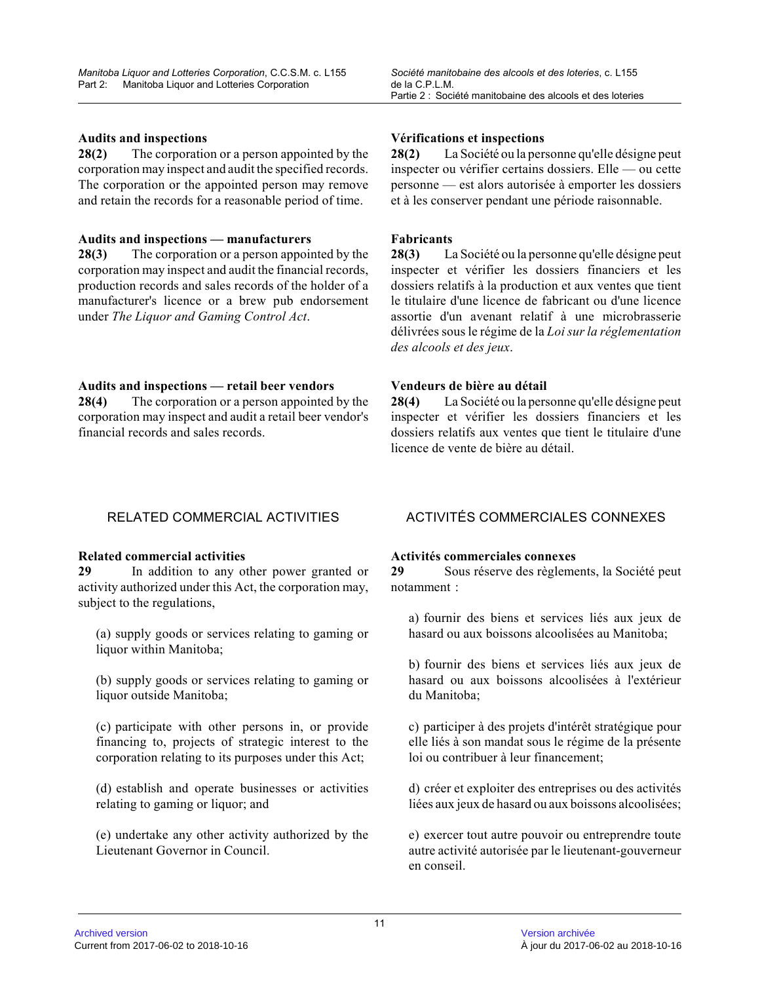### **Audits and inspections**

**28(2)** The corporation or a person appointed by the corporation may inspect and audit the specified records. The corporation or the appointed person may remove and retain the records for a reasonable period of time.

#### **Audits and inspections — manufacturers**

**28(3)** The corporation or a person appointed by the corporation may inspect and audit the financial records, production records and sales records of the holder of a manufacturer's licence or a brew pub endorsement under *The Liquor and Gaming Control Act* .

#### **Audits and inspections — retail beer vendors**

**28(4)** The corporation or a person appointed by the corporation may inspect and audit a retail beer vendor's financial records and sales records.

#### **Vérifications et inspections**

**28(2)** La Société ou la personne qu'elle désigne peut inspecter ou vérifier certains dossiers. Elle — ou cette personne — est alors autorisée à emporter les dossiers et à les conserver pendant une période raisonnable.

### **Fabricants**

**28(3)** La Société ou la personne qu'elle désigne peut inspecter et vérifier les dossiers financiers et les dossiers relatifs à la production et aux ventes que tient le titulaire d'une licence de fabricant ou d'une licence assortie d'un avenant relatif à une microbrasserie délivrées sous le régime de la *Loi sur la réglementation des alcools et des jeux* .

# **Vendeurs de bière au détail**

**28(4)** La Société ou la personne qu'elle désigne peut inspecter et vérifier les dossiers financiers et les dossiers relatifs aux ventes que tient le titulaire d'une licence de vente de bière au détail.

#### **Related commercial activities**

**29** In addition to any other power granted or activity authorized under this Act, the corporation may, subject to the regulations,

(a) supply goods or services relating to gaming or liquor within Manitoba;

(b) supply goods or services relating to gaming or liquor outside Manitoba;

(c) participate with other persons in, or provide financing to, projects of strategic interest to the corporation relating to its purposes under this Act ;

(d) establish and operate businesses or activities relating to gaming or liquor; and

(e) undertake any other activity authorized by the Lieutenant Governor in Council.

# RELATED COMMERCIAL ACTIVITIES ACTIVITÉS COMMERCIALES CONNEXES

#### **Activités commerciales connexes**

**29** Sous réserve des règlements, la Société peut notamment :

a) fournir des biens et services liés aux jeux de hasard ou aux boissons alcoolisées au Manitoba;

b) fournir des biens et services liés aux jeux de hasard ou aux boissons alcoolisées à l'extérieur du Manitoba;

c) participer à des projets d'intérêt stratégique pour elle liés à son mandat sous le régime de la présente loi ou contribuer à leur financement;

d) créer et exploiter des entreprises ou des activité s liées aux jeux de hasard ou aux boissons alcoolisées;

e) exercer tout autre pouvoir ou entreprendre toute autre activité autorisée par le lieutenant-gouverneur en conseil.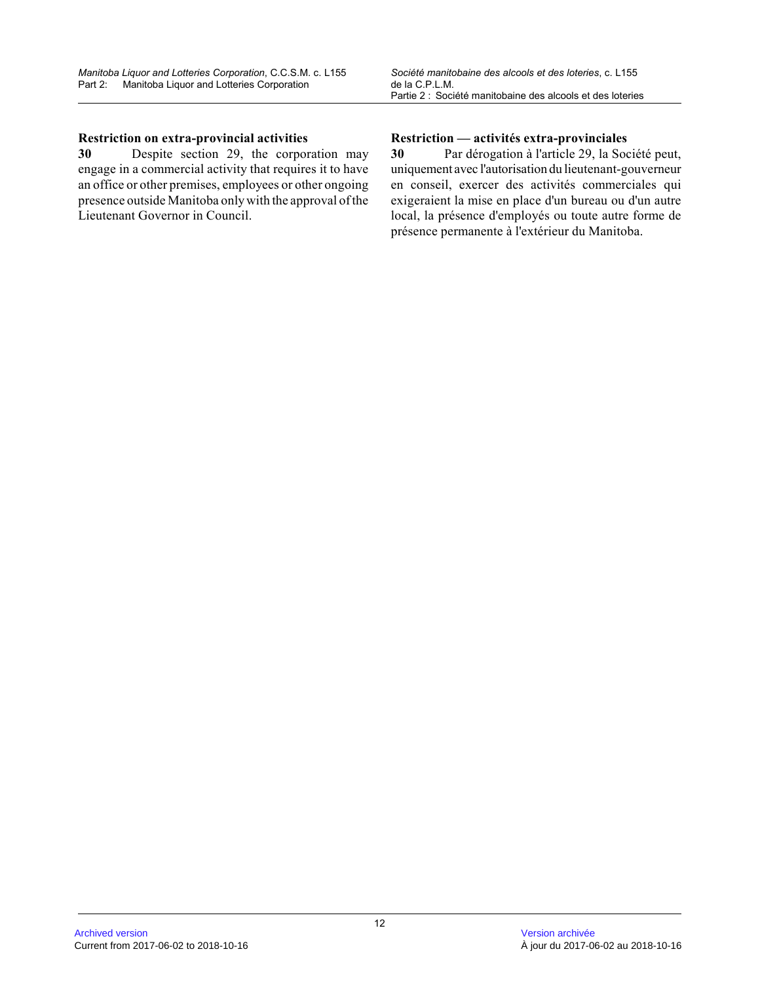# **Restriction on extra-provincial activities**

**30** Despite section 29, the corporation may engage in a commercial activity that requires it to have an office or other premises, employees or other ongoing presence outside Manitoba only with the approval of the Lieutenant Governor in Council.

# **Restriction — activités extra-provinciales**

**30** Par dérogation à l'article 29, la Société peut, uniquement avec l'autorisation du lieutenant-gouverneur en conseil, exercer des activités commerciales qui exigeraient la mise en place d'un bureau ou d'un autre local, la présence d'employés ou toute autre forme d e présence permanente à l'extérieur du Manitoba.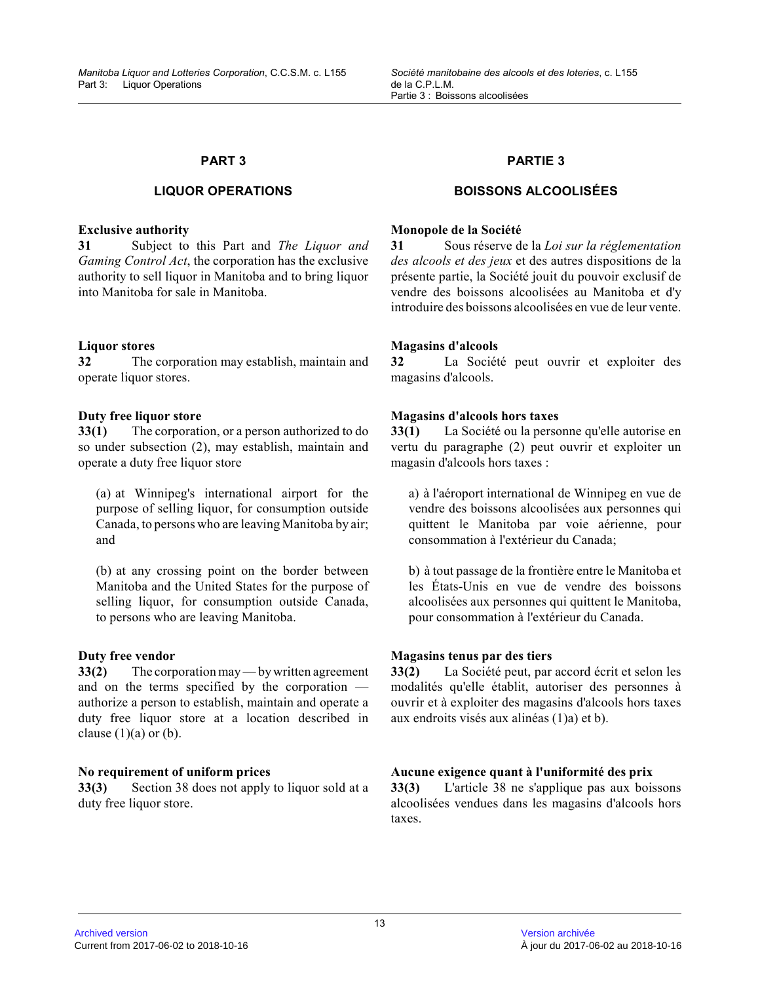# **LIQUOR OPERATIONS**

#### **Exclusive authority**

**31** Subject to this Part and *The Liquor and Gaming Control Act*, the corporation has the exclusive authority to sell liquor in Manitoba and to bring liquor into Manitoba for sale in Manitoba.

# **Liquor stores**

**32** The corporation may establish, maintain and operate liquor stores.

#### **Duty free liquor store**

**33(1)** The corporation, or a person authorized to do so under subsection (2), may establish, maintain an d operate a duty free liquor store

(a) at Winnipeg's international airport for the purpose of selling liquor, for consumption outside Canada, to persons who are leaving Manitoba by air; and

(b) at any crossing point on the border between Manitoba and the United States for the purpose of selling liquor, for consumption outside Canada, to persons who are leaving Manitoba.

### **Duty free vendor**

**33(2)** The corporation may — by written agreement and on the terms specified by the corporation authorize a person to establish, maintain and operate a duty free liquor store at a location described in clause  $(1)(a)$  or  $(b)$ .

#### **No requirement of uniform prices**

**33(3)** Section 38 does not apply to liquor sold at a duty free liquor store.

# **PARTIE 3**

# **BOISSONS ALCOOLISÉES**

### **Monopole de la Société**

**31** Sous réserve de la *Loi sur la réglementation des alcools et des jeux* et des autres dispositions de la présente partie, la Société jouit du pouvoir exclusif de vendre des boissons alcoolisées au Manitoba et d'y introduire des boissons alcoolisées en vue de leur vente.

# **Magasins d'alcools**

**32** La Société peut ouvrir et exploiter des magasins d'alcools.

# **Magasins d'alcools hors taxes**

**33(1)** La Société ou la personne qu'elle autorise en vertu du paragraphe (2) peut ouvrir et exploiter un magasin d'alcools hors taxes :

a) à l'aéroport international de Winnipeg en vue de vendre des boissons alcoolisées aux personnes qui quittent le Manitoba par voie aérienne, pour consommation à l'extérieur du Canada;

b) à tout passage de la frontière entre le Manitoba et les États-Unis en vue de vendre des boissons alcoolisées aux personnes qui quittent le Manitoba, pour consommation à l'extérieur du Canada.

### **Magasins tenus par des tiers**

**33(2)** La Société peut, par accord écrit et selon les modalités qu'elle établit, autoriser des personnes à ouvrir et à exploiter des magasins d'alcools hors taxes aux endroits visés aux alinéas (1)a) et b).

# **Aucune exigence quant à l'uniformité des prix**

**33(3)** L'article 38 ne s'applique pas aux boissons alcoolisées vendues dans les magasins d'alcools hors taxes.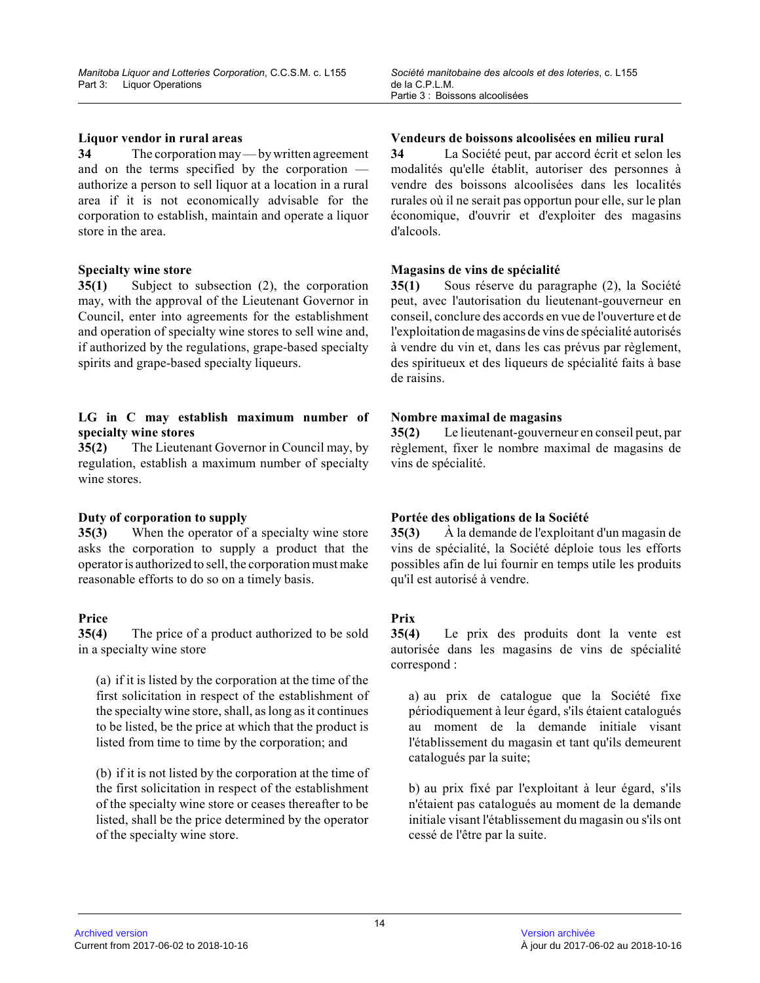### **Liquor vendor in rural areas**

**34** The corporation may — by written agreement and on the terms specified by the corporation authorize a person to sell liquor at a location in a rural area if it is not economically advisable for the corporation to establish, maintain and operate a liquor store in the area.

# **Specialty wine store**

**35(1)** Subject to subsection (2), the corporation may, with the approval of the Lieutenant Governor in Council, enter into agreements for the establishmen t and operation of specialty wine stores to sell wine and, if authorized by the regulations, grape-based specialty spirits and grape-based specialty liqueurs.

# **LG in C may establish maximum number of specialty wine stores**

**35(2)** The Lieutenant Governor in Council may, by regulation, establish a maximum number of specialty wine stores.

# **Duty of corporation to supply**

**35(3)** When the operator of a specialty wine store asks the corporation to supply a product that the operator is authorized to sell, the corporation must make reasonable efforts to do so on a timely basis.

# **Price**

**35(4)** The price of a product authorized to be sold in a specialty wine store

(a) if it is listed by the corporation at the time of the first solicitation in respect of the establishment of the specialty wine store, shall, as long as it continues to be listed, be the price at which that the product is listed from time to time by the corporation; and

(b) if it is not listed by the corporation at the time of the first solicitation in respect of the establishment of the specialty wine store or ceases thereafter to be listed, shall be the price determined by the operator of the specialty wine store.

# **Vendeurs de boissons alcoolisées en milieu rural**

**34** La Société peut, par accord écrit et selon les modalités qu'elle établit, autoriser des personnes à vendre des boissons alcoolisées dans les localités rurales où il ne serait pas opportun pour elle, sur le plan économique, d'ouvrir et d'exploiter des magasins d'alcools.

# **Magasins de vins de spécialité**

**35(1)** Sous réserve du paragraphe (2), la Société peut, avec l'autorisation du lieutenant-gouverneur en conseil, conclure des accords en vue de l'ouverture et de l'exploitation de magasins de vins de spécialité autorisés à vendre du vin et, dans les cas prévus par règlement, des spiritueux et des liqueurs de spécialité faits à base de raisins.

# **Nombre maximal de magasins**

**35(2)** Le lieutenant-gouverneur en conseil peut, par règlement, fixer le nombre maximal de magasins de vins de spécialité.

# **Portée des obligations de la Société**

**35(3)** À la demande de l'exploitant d'un magasin de vins de spécialité, la Société déploie tous les efforts possibles afin de lui fournir en temps utile les produits qu'il est autorisé à vendre.

# **Prix**

**35(4)** Le prix des produits dont la vente est autorisée dans les magasins de vins de spécialité correspond :

a) au prix de catalogue que la Société fixe périodiquement à leur égard, s'ils étaient catalogués au moment de la demande initiale visant l'établissement du magasin et tant qu'ils demeurent catalogués par la suite;

b) au prix fixé par l'exploitant à leur égard, s'ils n'étaient pas catalogués au moment de la demande initiale visant l'établissement du magasin ou s'ils ont cessé de l'être par la suite.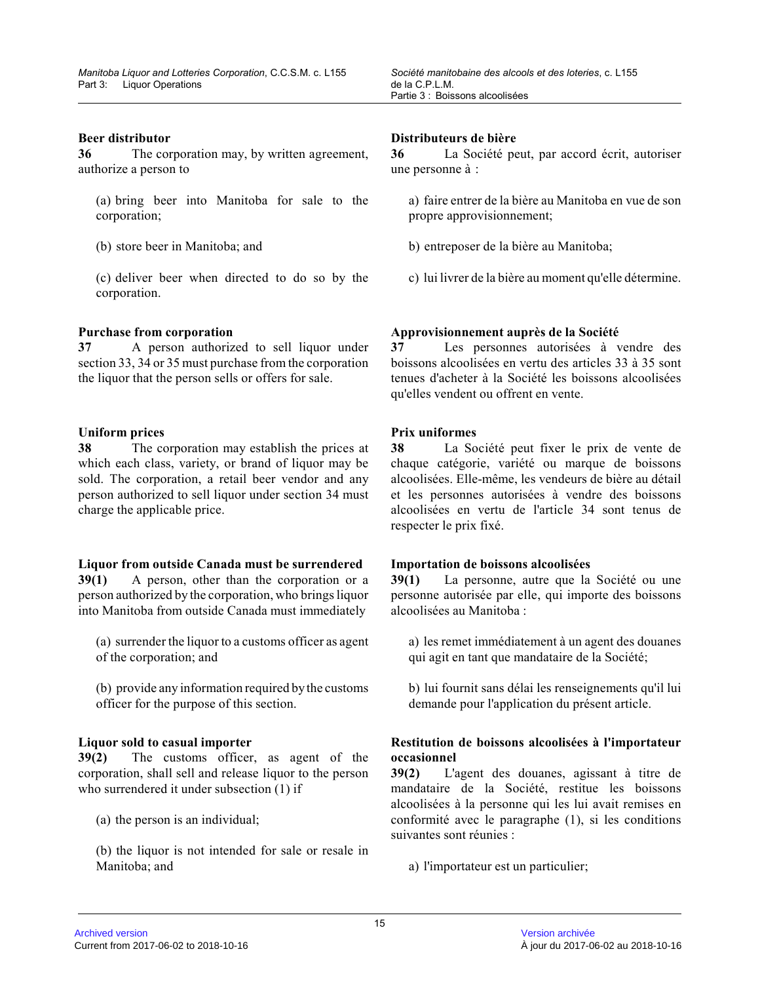#### **Beer distributor**

**36** The corporation may, by written agreement, authorize a person to

(a) bring beer into Manitoba for sale to the corporation;

(b) store beer in Manitoba; and

(c) deliver beer when directed to do so by the corporation.

#### **Purchase from corporation**

**37** A person authorized to sell liquor under section 33, 34 or 35 must purchase from the corporation the liquor that the person sells or offers for sale .

#### **Uniform prices**

**38** The corporation may establish the prices at which each class, variety, or brand of liquor may be sold. The corporation, a retail beer vendor and any person authorized to sell liquor under section 34 must charge the applicable price.

#### **Liquor from outside Canada must be surrendered**

**39(1)** A person, other than the corporation or a person authorized by the corporation, who brings liquor into Manitoba from outside Canada must immediately

(a) surrender the liquor to a customs officer as agent of the corporation; and

(b) provide any information required by the customs officer for the purpose of this section.

#### **Liquor sold to casual importer**

**39(2)** The customs officer, as agent of the corporation, shall sell and release liquor to the person who surrendered it under subsection (1) if

(a) the person is an individual;

(b) the liquor is not intended for sale or resale in Manitoba; and

#### **Distributeurs de bière**

**36** La Société peut, par accord écrit, autoriser une personne à :

- a) faire entrer de la bière au Manitoba en vue de son propre approvisionnement;
- b) entreposer de la bière au Manitoba;
- c) lui livrer de la bière au moment qu'elle détermine .

#### **Approvisionnement auprès de la Société**

**37** Les personnes autorisées à vendre des boissons alcoolisées en vertu des articles 33 à 35 sont tenues d'acheter à la Société les boissons alcoolisées qu'elles vendent ou offrent en vente.

#### **Prix uniformes**

**38** La Société peut fixer le prix de vente de chaque catégorie, variété ou marque de boissons alcoolisées. Elle-même, les vendeurs de bière au détail et les personnes autorisées à vendre des boissons alcoolisées en vertu de l'article 34 sont tenus de respecter le prix fixé.

#### **Importation de boissons alcoolisées**

**39(1)** La personne, autre que la Société ou une personne autorisée par elle, qui importe des boissons alcoolisées au Manitoba :

a) les remet immédiatement à un agent des douanes qui agit en tant que mandataire de la Société;

b) lui fournit sans délai les renseignements qu'il lui demande pour l'application du présent article.

# **Restitution de boissons alcoolisées à l'importateur occasionnel**

**39(2)** L'agent des douanes, agissant à titre de mandataire de la Société, restitue les boissons alcoolisées à la personne qui les lui avait remises en conformité avec le paragraphe (1), si les conditions suivantes sont réunies :

a) l'importateur est un particulier;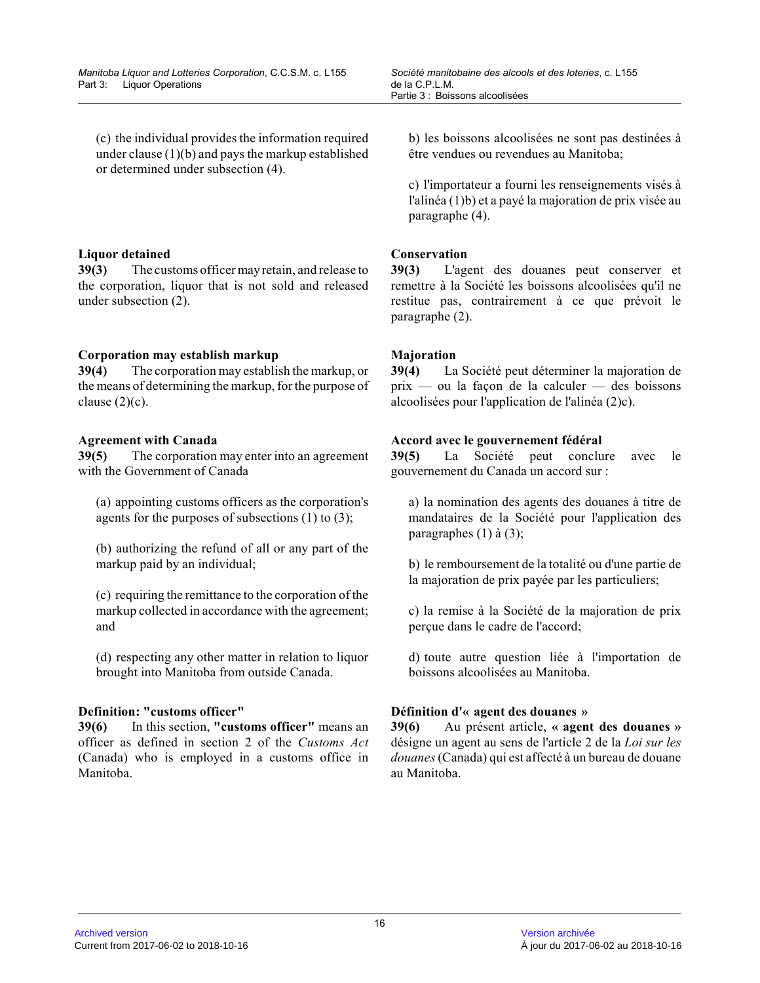(c) the individual provides the information required under clause (1)(b) and pays the markup established or determined under subsection (4).

# **Liquor detained**

**39(3)** The customs officer may retain, and release to the corporation, liquor that is not sold and released under subsection (2).

# **Corporation may establish markup**

**39(4)** The corporation may establish the markup, or the means of determining the markup, for the purpose of clause  $(2)(c)$ .

# **Agreement with Canada**

**39(5)** The corporation may enter into an agreement with the Government of Canada

(a) appointing customs officers as the corporation's agents for the purposes of subsections  $(1)$  to  $(3)$ ;

(b) authorizing the refund of all or any part of the markup paid by an individual;

(c) requiring the remittance to the corporation of the markup collected in accordance with the agreement; and

(d) respecting any other matter in relation to liquor brought into Manitoba from outside Canada.

# **Definition: "customs officer"**

**39(6)** In this section, **"customs officer"** means an officer as defined in section 2 of the *Customs Act* (Canada) who is employed in a customs office in Manitoba.

b) les boissons alcoolisées ne sont pas destinées à être vendues ou revendues au Manitoba;

c) l'importateur a fourni les renseignements visés à l'alinéa (1)b) et a payé la majoration de prix visée au paragraphe (4).

# **Conservation**

**39(3)** L'agent des douanes peut conserver et remettre à la Société les boissons alcoolisées qu'il ne restitue pas, contrairement à ce que prévoit le paragraphe (2).

# **Majoration**

**39(4)** La Société peut déterminer la majoration de prix — ou la façon de la calculer — des boissons alcoolisées pour l'application de l'alinéa (2)c).

# **Accord avec le gouvernement fédéral**

**39(5)** La Société peut conclure avec le gouvernement du Canada un accord sur :

a) la nomination des agents des douanes à titre de mandataires de la Société pour l'application des paragraphes (1) à (3);

b) le remboursement de la totalité ou d'une partie d e la majoration de prix payée par les particuliers;

c) la remise à la Société de la majoration de prix perçue dans le cadre de l'accord;

d) toute autre question liée à l'importation de boissons alcoolisées au Manitoba.

# **Définition d'« agent des douanes »**

**39(6)** Au présent article, **« agent des douanes »** désigne un agent au sens de l'article 2 de la *Loi sur les douanes* (Canada) qui est affecté à un bureau de douane au Manitoba.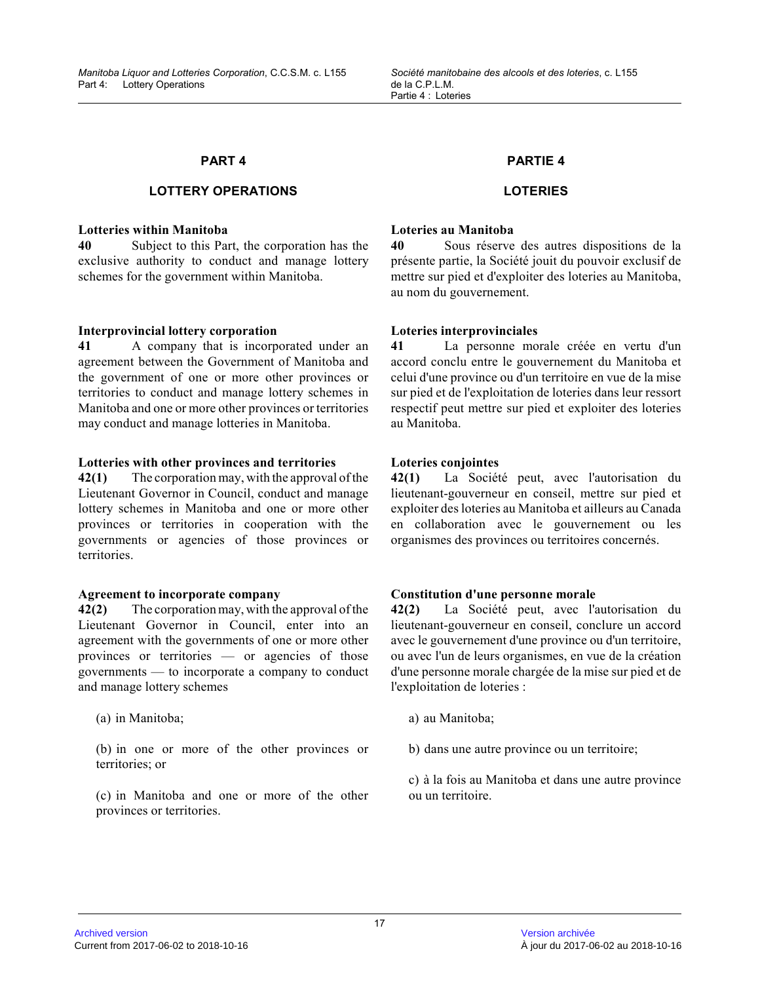# **LOTTERY OPERATIONS**

#### **Lotteries within Manitoba**

**40** Subject to this Part, the corporation has the exclusive authority to conduct and manage lottery schemes for the government within Manitoba.

#### **Interprovincial lottery corporation**

**41** A company that is incorporated under an agreement between the Government of Manitoba and the government of one or more other provinces or territories to conduct and manage lottery schemes i n Manitoba and one or more other provinces or territories may conduct and manage lotteries in Manitoba.

#### **Lotteries with other provinces and territories**

**42(1)** The corporation may, with the approval of the Lieutenant Governor in Council, conduct and manage lottery schemes in Manitoba and one or more other provinces or territories in cooperation with the governments or agencies of those provinces or territories.

### **Agreement to incorporate company**

**42(2)** The corporation may, with the approval of the Lieutenant Governor in Council, enter into an agreement with the governments of one or more other provinces or territories — or agencies of those governments — to incorporate a company to conduct and manage lottery schemes

(a) in Manitoba;

(b) in one or more of the other provinces or territories; or

(c) in Manitoba and one or more of the other provinces or territories.

#### **PARTIE 4**

# **LOTERIES**

#### **Loteries au Manitoba**

**40** Sous réserve des autres dispositions de la présente partie, la Société jouit du pouvoir exclusif de mettre sur pied et d'exploiter des loteries au Manitoba, au nom du gouvernement.

#### **Loteries interprovinciales**

**41** La personne morale créée en vertu d'un accord conclu entre le gouvernement du Manitoba et celui d'une province ou d'un territoire en vue de la mise sur pied et de l'exploitation de loteries dans leur ressort respectif peut mettre sur pied et exploiter des loteries au Manitoba.

#### **Loteries conjointes**

**42(1)** La Société peut, avec l'autorisation du lieutenant-gouverneur en conseil, mettre sur pied et exploiter des loteries au Manitoba et ailleurs au Canada en collaboration avec le gouvernement ou les organismes des provinces ou territoires concernés.

#### **Constitution d'une personne morale**

**42(2)** La Société peut, avec l'autorisation du lieutenant-gouverneur en conseil, conclure un accord avec le gouvernement d'une province ou d'un territoire , ou avec l'un de leurs organismes, en vue de la création d'une personne morale chargée de la mise sur pied et de l'exploitation de loteries :

- a) au Manitoba;
- b) dans une autre province ou un territoire;

c) à la fois au Manitoba et dans une autre province ou un territoire.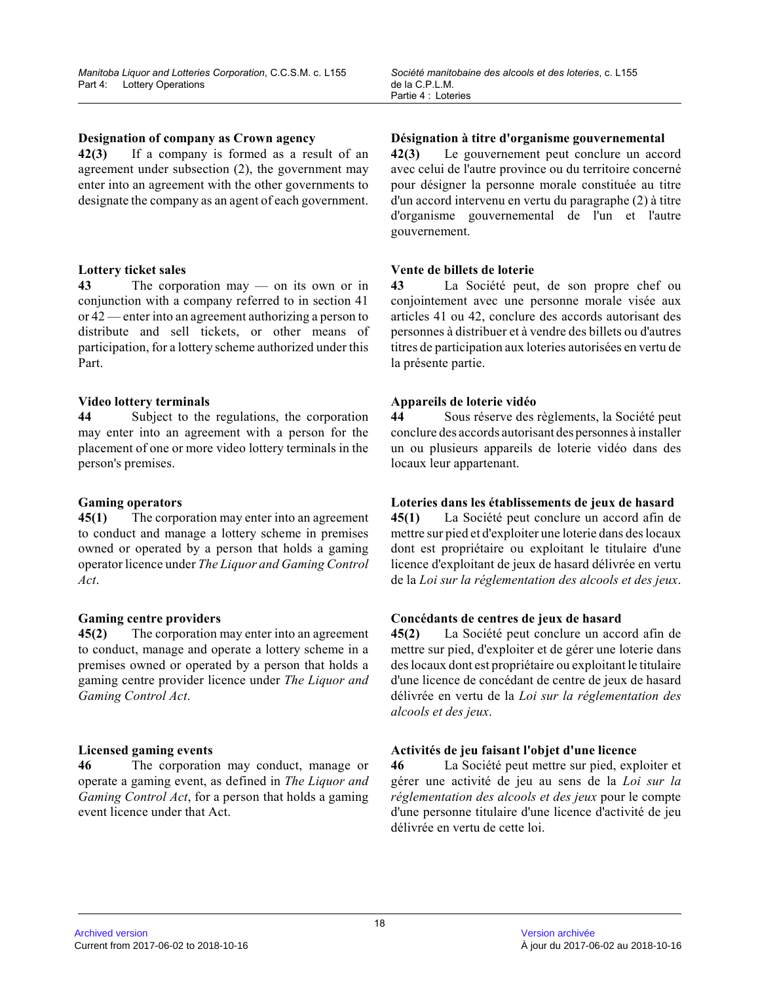### **Designation of company as Crown agency**

**42(3)** If a company is formed as a result of an agreement under subsection (2), the government may enter into an agreement with the other governments to designate the company as an agent of each government .

# **Lottery ticket sales**

**43** The corporation may — on its own or in conjunction with a company referred to in section 4 1 or 42 — enter into an agreement authorizing a person to distribute and sell tickets, or other means of participation, for a lottery scheme authorized under this Part.

# **Video lottery terminals**

**44** Subject to the regulations, the corporation may enter into an agreement with a person for the placement of one or more video lottery terminals in the person's premises.

# **Gaming operators**

**45(1)** The corporation may enter into an agreement to conduct and manage a lottery scheme in premises owned or operated by a person that holds a gaming operator licence under *The Liquor and Gaming Control Act* .

#### **Gaming centre providers**

**45(2)** The corporation may enter into an agreement to conduct, manage and operate a lottery scheme in a premises owned or operated by a person that holds a gaming centre provider licence under *The Liquor and Gaming Control Act* .

# **Licensed gaming events**

**46** The corporation may conduct, manage or operate a gaming event, as defined in *The Liquor and Gaming Control Act*, for a person that holds a gaming event licence under that Act.

# **Désignation à titre d'organisme gouvernemental**

**42(3)** Le gouvernement peut conclure un accord avec celui de l'autre province ou du territoire concerné pour désigner la personne morale constituée au titr e d'un accord intervenu en vertu du paragraphe (2) à titre d'organisme gouvernemental de l'un et l'autre gouvernement.

# **Vente de billets de loterie**

**43** La Société peut, de son propre chef ou conjointement avec une personne morale visée aux articles 41 ou 42, conclure des accords autorisant des personnes à distribuer et à vendre des billets ou d'autres titres de participation aux loteries autorisées en vertu de la présente partie.

# **Appareils de loterie vidéo**

**44** Sous réserve des règlements, la Société peut conclure des accords autorisant des personnes à installer un ou plusieurs appareils de loterie vidéo dans des locaux leur appartenant.

#### **Loteries dans les établissements de jeux de hasard**

**45(1)** La Société peut conclure un accord afin de mettre sur pied et d'exploiter une loterie dans des locaux dont est propriétaire ou exploitant le titulaire d'une licence d'exploitant de jeux de hasard délivrée en vertu de la *Loi sur la réglementation des alcools et des jeux* .

# **Concédants de centres de jeux de hasard**

**45(2)** La Société peut conclure un accord afin de mettre sur pied, d'exploiter et de gérer une loterie dans des locaux dont est propriétaire ou exploitant le titulaire d'une licence de concédant de centre de jeux de hasard délivrée en vertu de la *Loi sur la réglementation des alcools et des jeux* .

# **Activités de jeu faisant l'objet d'une licence**

**46** La Société peut mettre sur pied, exploiter et gérer une activité de jeu au sens de la *Loi sur la réglementation des alcools et des jeux* pour le compte d'une personne titulaire d'une licence d'activité de jeu délivrée en vertu de cette loi.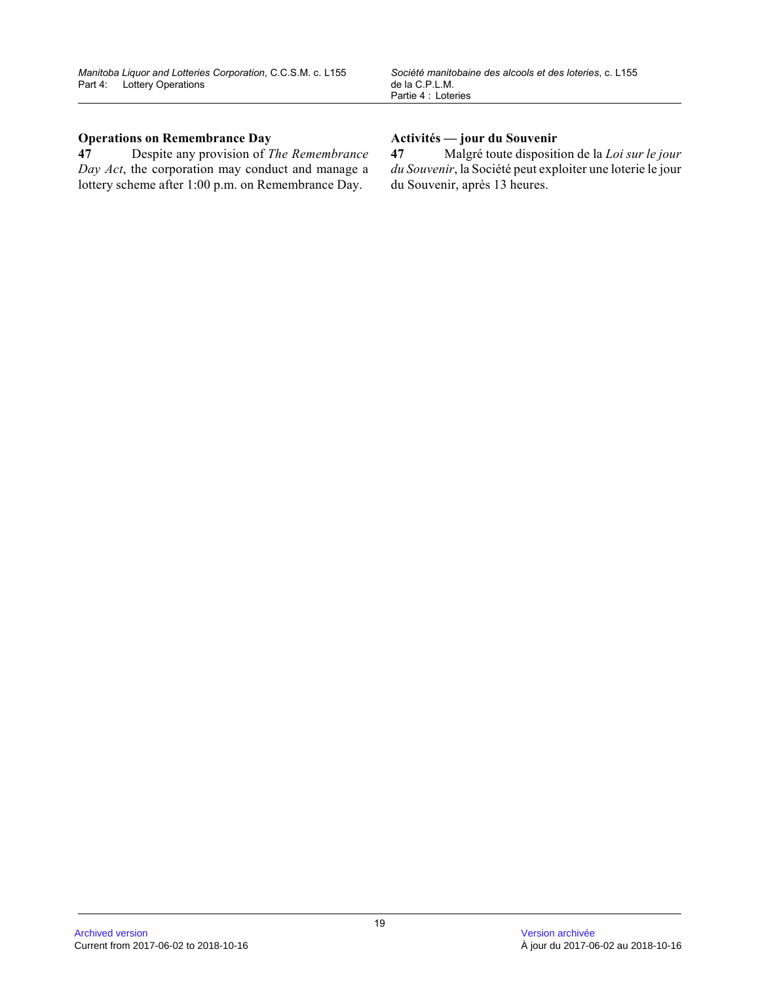# **Operations on Remembrance Day**

**47** Despite any provision of *The Remembrance Day Act*, the corporation may conduct and manage a lottery scheme after 1:00 p.m. on Remembrance Day.

# **Activités — jour du Souvenir**

**47** Malgré toute disposition de la *Loi sur le jour du Souvenir*, la Société peut exploiter une loterie le jour du Souvenir, après 13 heures.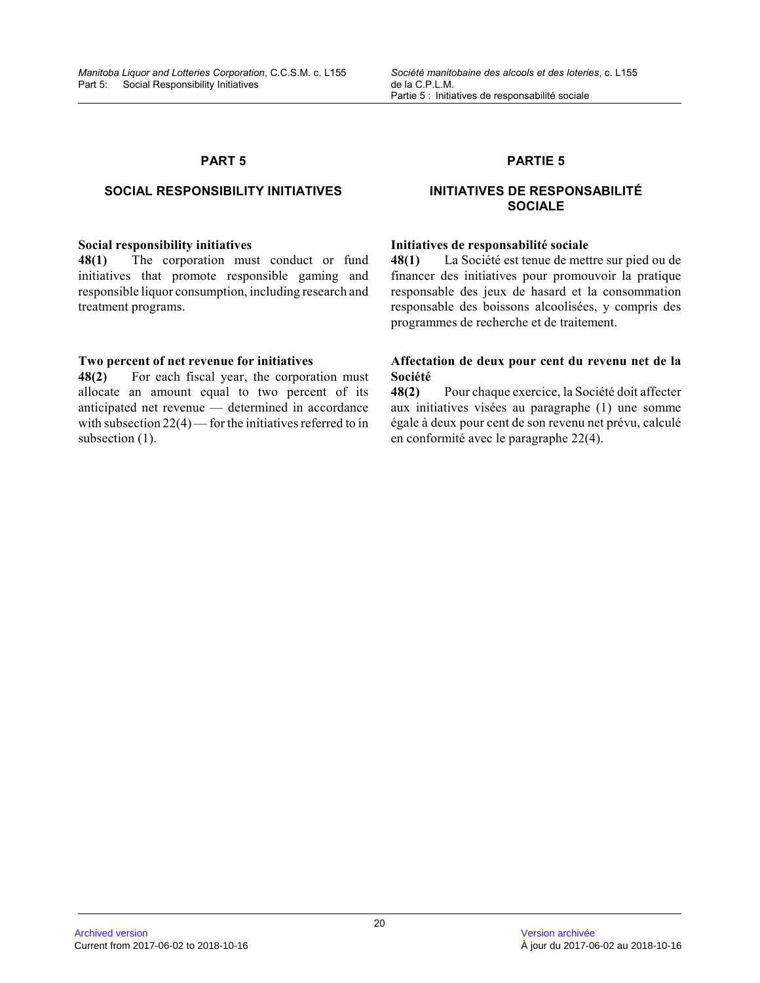# **SOCIAL RESPONSIBILITY INITIATIVES**

#### **Social responsibility initiatives**

**48(1)** The corporation must conduct or fund initiatives that promote responsible gaming and responsible liquor consumption, including research and treatment programs.

# **Two percent of net revenue for initiatives**

**48(2)** For each fiscal year, the corporation must allocate an amount equal to two percent of its anticipated net revenue — determined in accordance with subsection  $22(4)$  — for the initiatives referred to in subsection  $(1)$ .

### **PARTIE 5**

# **INITIATIVES DE RESPONSABILITÉ SOCIALE**

#### **Initiatives de responsabilité sociale**

**48(1)** La Société est tenue de mettre sur pied ou de financer des initiatives pour promouvoir la pratique responsable des jeux de hasard et la consommation responsable des boissons alcoolisées, y compris des programmes de recherche et de traitement.

# **Affectation de deux pour cent du revenu net de la Société**

**48(2)** Pour chaque exercice, la Société doit affecter aux initiatives visées au paragraphe (1) une somme égale à deux pour cent de son revenu net prévu, calculé en conformité avec le paragraphe 22(4).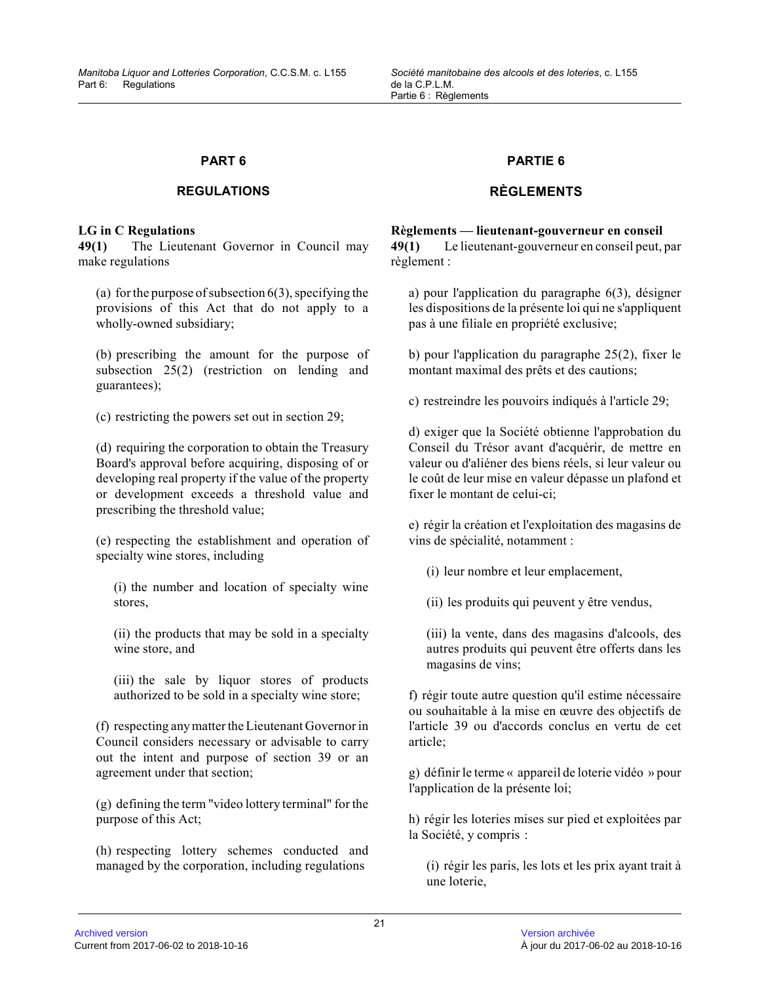# **REGULATIONS**

### **LG in C Regulations**

**49(1)** The Lieutenant Governor in Council may make regulations

(a) for the purpose of subsection  $6(3)$ , specifying the provisions of this Act that do not apply to a wholly-owned subsidiary;

(b) prescribing the amount for the purpose of subsection 25(2) (restriction on lending and guarantees);

(c) restricting the powers set out in section 29;

(d) requiring the corporation to obtain the Treasury Board's approval before acquiring, disposing of or developing real property if the value of the property or development exceeds a threshold value and prescribing the threshold value;

(e) respecting the establishment and operation of specialty wine stores, including

(i) the number and location of specialty wine stores,

(ii) the products that may be sold in a specialty wine store, and

(iii) the sale by liquor stores of products authorized to be sold in a specialty wine store;

(f) respecting any matter the Lieutenant Governor in Council considers necessary or advisable to carry out the intent and purpose of section 39 or an agreement under that section;

(g) defining the term "video lottery terminal" for th e purpose of this Act;

(h) respecting lottery schemes conducted and managed by the corporation, including regulations

# **PARTIE 6**

# **RÈGLEMENTS**

# **Règlements — lieutenant-gouverneur en conseil**

**49(1)** Le lieutenant-gouverneur en conseil peut, par règlement :

a) pour l'application du paragraphe 6(3), désigner les dispositions de la présente loi qui ne s'appliquent pas à une filiale en propriété exclusive;

b) pour l'application du paragraphe 25(2), fixer le montant maximal des prêts et des cautions;

c) restreindre les pouvoirs indiqués à l'article 29;

d) exiger que la Société obtienne l'approbation du Conseil du Trésor avant d'acquérir, de mettre en valeur ou d'aliéner des biens réels, si leur valeur ou le coût de leur mise en valeur dépasse un plafond et fixer le montant de celui-ci;

e) régir la création et l'exploitation des magasins de vins de spécialité, notamment :

(i) leur nombre et leur emplacement,

(ii) les produits qui peuvent y être vendus,

(iii) la vente, dans des magasins d'alcools, des autres produits qui peuvent être offerts dans les magasins de vins;

f) régir toute autre question qu'il estime nécessair e ou souhaitable à la mise en œuvre des objectifs de l'article 39 ou d'accords conclus en vertu de cet article;

g) définir le terme « appareil de loterie vidéo » pour l'application de la présente loi;

h) régir les loteries mises sur pied et exploitées par la Société, y compris :

(i) régir les paris, les lots et les prix ayant trait à une loterie,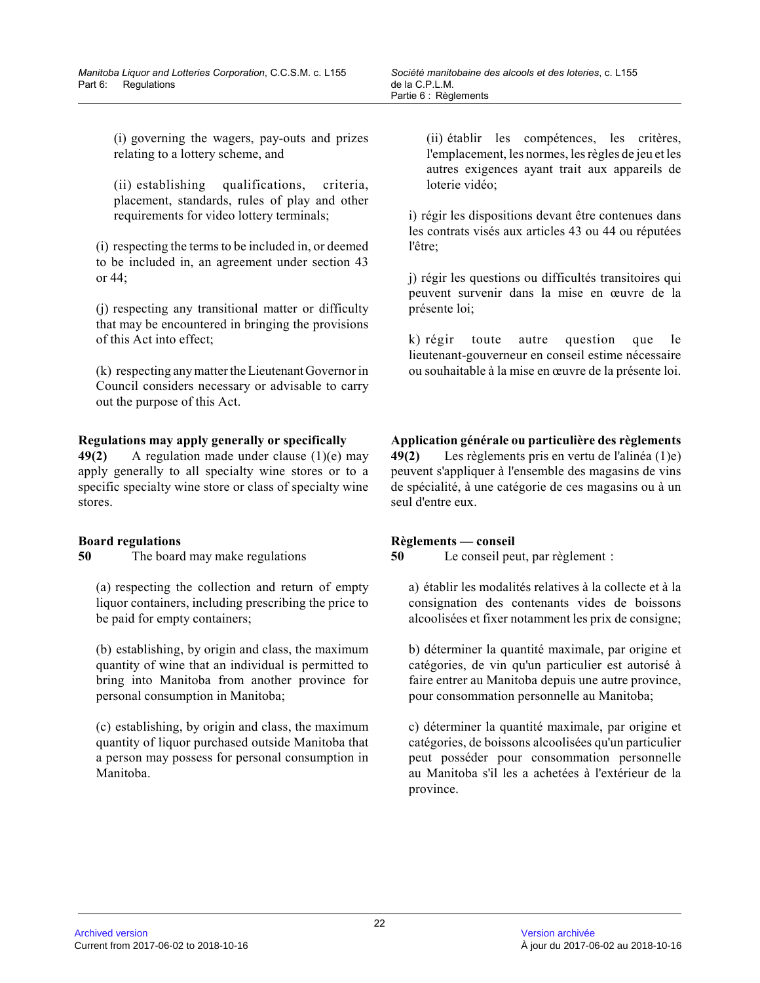(i) governing the wagers, pay-outs and prizes relating to a lottery scheme, and

(ii) establishing qualifications, criteria, placement, standards, rules of play and other requirements for video lottery terminals;

(i) respecting the terms to be included in, or deeme d to be included in, an agreement under section 43 or 44;

(j) respecting any transitional matter or difficulty that may be encountered in bringing the provisions of this Act into effect;

(k) respecting any matter the Lieutenant Governor in Council considers necessary or advisable to carry out the purpose of this Act.

# **Regulations may apply generally or specifically**

**49(2)** A regulation made under clause (1)(e) may apply generally to all specialty wine stores or to a specific specialty wine store or class of specialty wine stores.

# **Board regulations**

**50** The board may make regulations

(a) respecting the collection and return of empty liquor containers, including prescribing the price to be paid for empty containers;

(b) establishing, by origin and class, the maximum quantity of wine that an individual is permitted to bring into Manitoba from another province for personal consumption in Manitoba;

(c) establishing, by origin and class, the maximum quantity of liquor purchased outside Manitoba that a person may possess for personal consumption in Manitoba.

(ii) établir les compétences, les critères, l'emplacement, les normes, les règles de jeu et les autres exigences ayant trait aux appareils de loterie vidéo;

i) régir les dispositions devant être contenues dans les contrats visés aux articles 43 ou 44 ou réputées l'être;

j) régir les questions ou difficultés transitoires qui peuvent survenir dans la mise en œuvre de la présente loi;

k) régir toute autre question que le lieutenant-gouverneur en conseil estime nécessaire ou souhaitable à la mise en œuvre de la présente loi .

**Application générale ou particulière des règlements 49(2)** Les règlements pris en vertu de l'alinéa (1)e) peuvent s'appliquer à l'ensemble des magasins de vins de spécialité, à une catégorie de ces magasins ou à un seul d'entre eux.

# **Règlements — conseil**

**50** Le conseil peut, par règlement :

a) établir les modalités relatives à la collecte et à la consignation des contenants vides de boissons alcoolisées et fixer notamment les prix de consigne ;

b) déterminer la quantité maximale, par origine et catégories, de vin qu'un particulier est autorisé à faire entrer au Manitoba depuis une autre province, pour consommation personnelle au Manitoba;

c) déterminer la quantité maximale, par origine et catégories, de boissons alcoolisées qu'un particulier peut posséder pour consommation personnelle au Manitoba s'il les a achetées à l'extérieur de la province.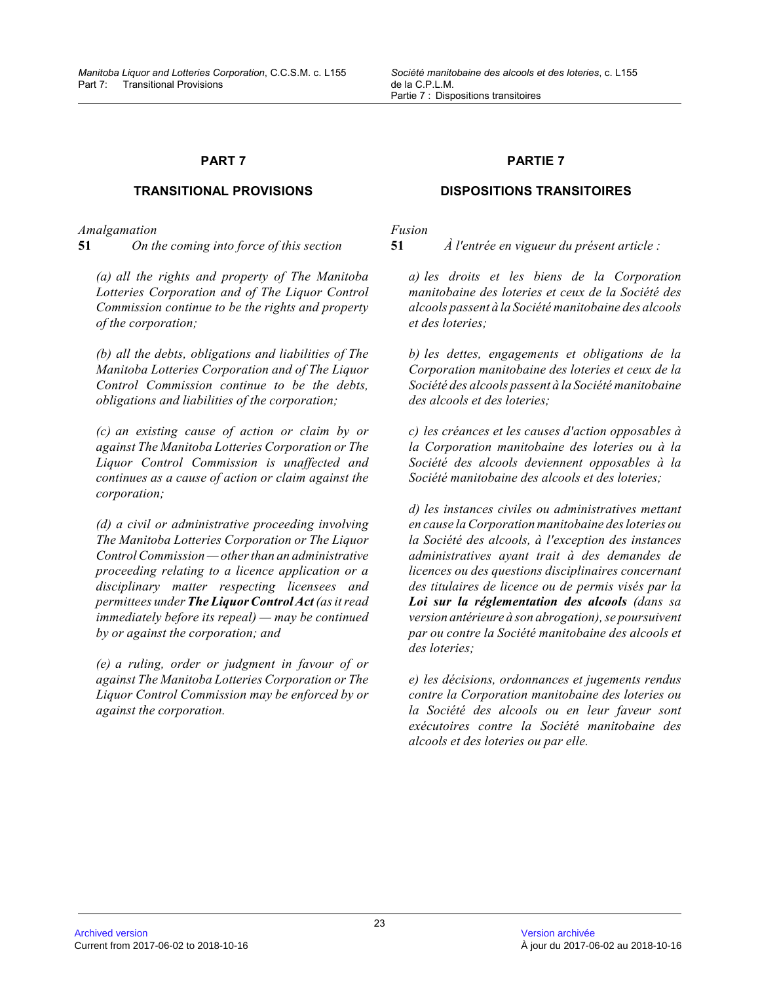### **TRANSITIONAL PROVISIONS**

*Amalgamation*

**51** *On the coming into force of this section*

*(a) all the rights and property of The Manitoba Lotteries Corporation and of The Liquor Control Commission continue to be the rights and property of the corporation;* 

*(b) all the debts, obligations and liabilities of Th e Manitoba Lotteries Corporation and of The Liquor Control Commission continue to be the debts, obligations and liabilities of the corporation;*

*(c) an existing cause of action or claim by or against The Manitoba Lotteries Corporation or The Liquor Control Commission is unaffected and continues as a cause of action or claim against the corporation;*

*(d) a civil or administrative proceeding involving The Manitoba Lotteries Corporation or The Liquor Control Commission — other than an administrative proceeding relating to a licence application or a disciplinary matter respecting licensees and permittees under The Liquor Control Act (as it read immediately before its repeal) — may be continued by or against the corporation; and*

*(e) a ruling, order or judgment in favour of or against The Manitoba Lotteries Corporation or The Liquor Control Commission may be enforced by or against the corporation.*

#### **PARTIE 7**

#### **DISPOSITIONS TRANSITOIRES**

*Fusion*

**51** *À l'entrée en vigueur du présent article :*

*a) les droits et les biens de la Corporation manitobaine des loteries et ceux de la Société des alcools passent à la Société manitobaine des alcools et des loteries;*

*b) les dettes, engagements et obligations de la Corporation manitobaine des loteries et ceux de la Société des alcools passent à la Société manitobain e des alcools et des loteries;*

*c) les créances et les causes d'action opposables à la Corporation manitobaine des loteries ou à la Société des alcools deviennent opposables à la Société manitobaine des alcools et des loteries;*

*d) les instances civiles ou administratives mettant en cause la Corporation manitobaine des loteries ou la Société des alcools, à l'exception des instances administratives ayant trait à des demandes de licences ou des questions disciplinaires concernant des titulaires de licence ou de permis visés par la Loi sur la réglementation des alcools (dans sa version antérieure à son abrogation), se poursuivent par ou contre la Société manitobaine des alcools et des loteries;*

*e) les décisions, ordonnances et jugements rendus contre la Corporation manitobaine des loteries ou la Société des alcools ou en leur faveur sont exécutoires contre la Société manitobaine des alcools et des loteries ou par elle.*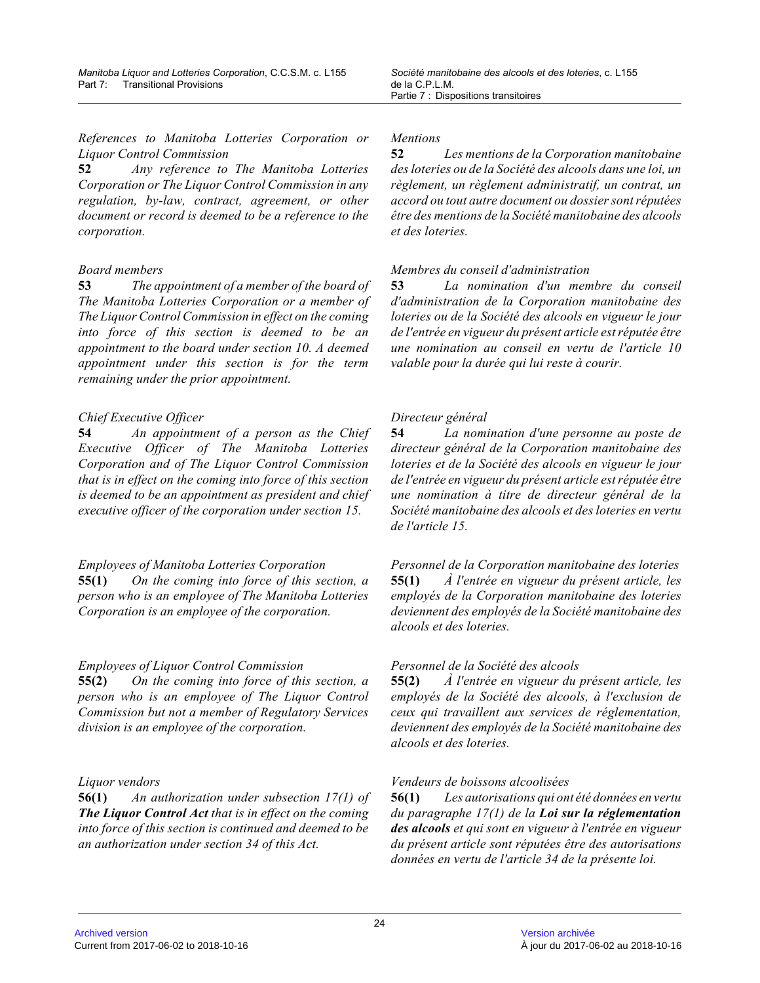*References to Manitoba Lotteries Corporation or Liquor Control Commission*

**52** *Any reference to The Manitoba Lotteries Corporation or The Liquor Control Commission in any regulation, by-law, contract, agreement, or other document or record is deemed to be a reference to the corporation.*

# *Board members*

**53** *The appointment of a member of the board of The Manitoba Lotteries Corporation or a member of The Liquor Control Commission in effect on the coming into force of this section is deemed to be an appointment to the board under section 10. A deemed appointment under this section is for the term remaining under the prior appointment.*

# *Chief Executive Officer*

**54** *An appointment of a person as the Chief Executive Officer of The Manitoba Lotteries Corporation and of The Liquor Control Commission that is in effect on the coming into force of this section is deemed to be an appointment as president and chief executive officer of the corporation under section 15.*

# *Employees of Manitoba Lotteries Corporation*

**55(1)** *On the coming into force of this section, a person who is an employee of The Manitoba Lotteries Corporation is an employee of the corporation.*

# *Employees of Liquor Control Commission*

**55(2)** *On the coming into force of this section, a person who is an employee of The Liquor Control Commission but not a member of Regulatory Services division is an employee of the corporation.*

# *Liquor vendors*

**56(1)** *An authorization under subsection 17(1) of The Liquor Control Act that is in effect on the coming into force of this section is continued and deemed to be an authorization under section 34 of this Act.*

# *Mentions*

**52** *Les mentions de la Corporation manitobaine des loteries ou de la Société des alcools dans une loi, un règlement, un règlement administratif, un contrat, un accord ou tout autre document ou dossier sont réputées être des mentions de la Société manitobaine des alcools et des loteries.*

# *Membres du conseil d'administration*

**53** *La nomination d'un membre du conseil d'administration de la Corporation manitobaine des loteries ou de la Société des alcools en vigueur le jour de l'entrée en vigueur du présent article est réputée être une nomination au conseil en vertu de l'article 10 valable pour la durée qui lui reste à courir.*

# *Directeur général*

**54** *La nomination d'une personne au poste de directeur général de la Corporation manitobaine des loteries et de la Société des alcools en vigueur le jour de l'entrée en vigueur du présent article est réputée être une nomination à titre de directeur général de la Société manitobaine des alcools et des loteries en vertu de l'article 15.*

*Personnel de la Corporation manitobaine des loterie s* **55(1)** *À l'entrée en vigueur du présent article, les employés de la Corporation manitobaine des loteries deviennent des employés de la Société manitobaine des alcools et des loteries.*

# *Personnel de la Société des alcools*

**55(2)** *À l'entrée en vigueur du présent article, les employés de la Société des alcools, à l'exclusion de ceux qui travaillent aux services de réglementation , deviennent des employés de la Société manitobaine des alcools et des loteries.*

# *Vendeurs de boissons alcoolisées*

**56(1)** *Les autorisations qui ont été données en vertu du paragraphe 17(1) de la Loi sur la réglementation des alcools et qui sont en vigueur à l'entrée en vigueur du présent article sont réputées être des autorisations données en vertu de l'article 34 de la présente loi.*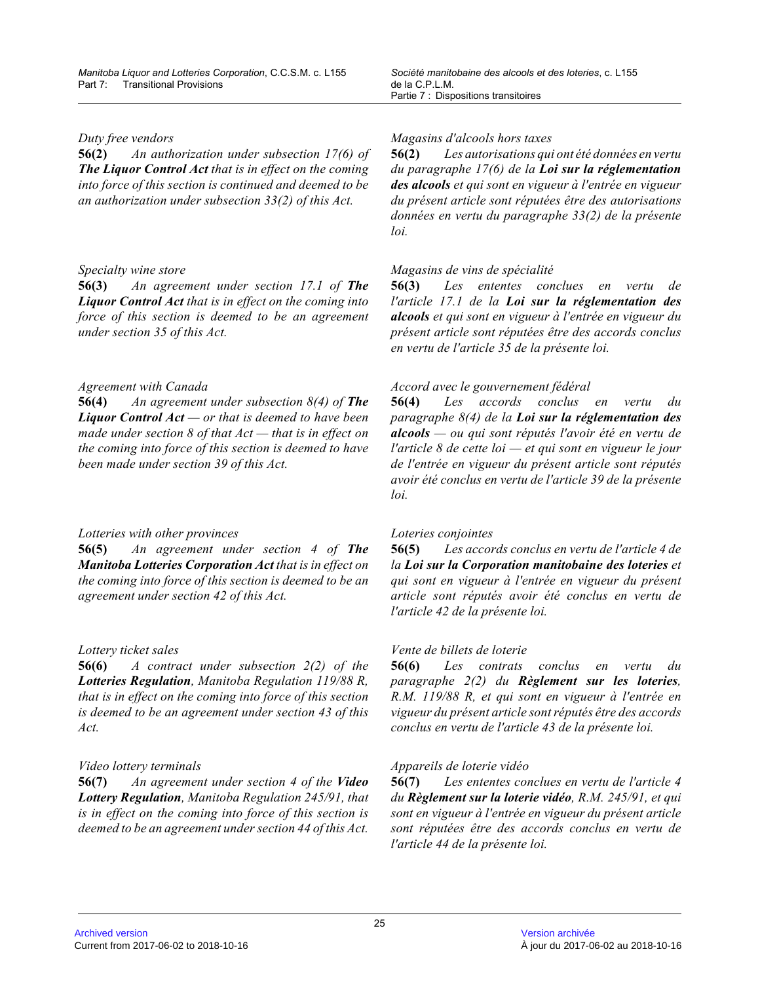#### *Duty free vendors*

**56(2)** *An authorization under subsection 17(6) of The Liquor Control Act that is in effect on the coming into force of this section is continued and deemed to be an authorization under subsection 33(2) of this Act.*

# *Specialty wine store*

**56(3)** *An agreement under section 17.1 of The Liquor Control Act that is in effect on the coming into force of this section is deemed to be an agreement under section 35 of this Act.*

# *Agreement with Canada*

**56(4)** *An agreement under subsection 8(4) of The Liquor Control Act — or that is deemed to have been made under section 8 of that Act — that is in effect on the coming into force of this section is deemed to have been made under section 39 of this Act.*

# *Lotteries with other provinces*

**56(5)** *An agreement under section 4 of The Manitoba Lotteries Corporation Act that is in effect on the coming into force of this section is deemed to be an agreement under section 42 of this Act.*

# *Lottery ticket sales*

**56(6)** *A contract under subsection 2(2) of the Lotteries Regulation, Manitoba Regulation 119/88 R, that is in effect on the coming into force of this section is deemed to be an agreement under section 43 of this Act.*

# *Video lottery terminals*

**56(7)** *An agreement under section 4 of the Video Lottery Regulation, Manitoba Regulation 245/91, that is in effect on the coming into force of this section is deemed to be an agreement under section 44 of this Act.*

# *Magasins d'alcools hors taxes*

**56(2)** *Les autorisations qui ont été données en vertu du paragraphe 17(6) de la Loi sur la réglementation des alcools et qui sont en vigueur à l'entrée en vigueur du présent article sont réputées être des autorisations données en vertu du paragraphe 33(2) de la présente loi.*

# *Magasins de vins de spécialité*

**56(3)** *Les ententes conclues en vertu de l'article 17.1 de la Loi sur la réglementation des alcools et qui sont en vigueur à l'entrée en vigueur du présent article sont réputées être des accords conclus en vertu de l'article 35 de la présente loi.*

# *Accord avec le gouvernement fédéral*

**56(4)** *Les accords conclus en vertu du paragraphe 8(4) de la Loi sur la réglementation des alcools — ou qui sont réputés l'avoir été en vertu de l'article 8 de cette loi — et qui sont en vigueur le jour de l'entrée en vigueur du présent article sont réputés avoir été conclus en vertu de l'article 39 de la présente loi.*

# *Loteries conjointes*

**56(5)** *Les accords conclus en vertu de l'article 4 de la Loi sur la Corporation manitobaine des loteries et qui sont en vigueur à l'entrée en vigueur du présen t article sont réputés avoir été conclus en vertu de l'article 42 de la présente loi.*

# *Vente de billets de loterie*

**56(6)** *Les contrats conclus en vertu du paragraphe 2(2) du Règlement sur les loteries , R.M. 119/88 R, et qui sont en vigueur à l'entrée en vigueur du présent article sont réputés être des accords conclus en vertu de l'article 43 de la présente loi.*

# *Appareils de loterie vidéo*

**56(7)** *Les ententes conclues en vertu de l'article 4 du Règlement sur la loterie vidéo, R.M. 245/91, et qui sont en vigueur à l'entrée en vigueur du présent article sont réputées être des accords conclus en vertu de l'article 44 de la présente loi.*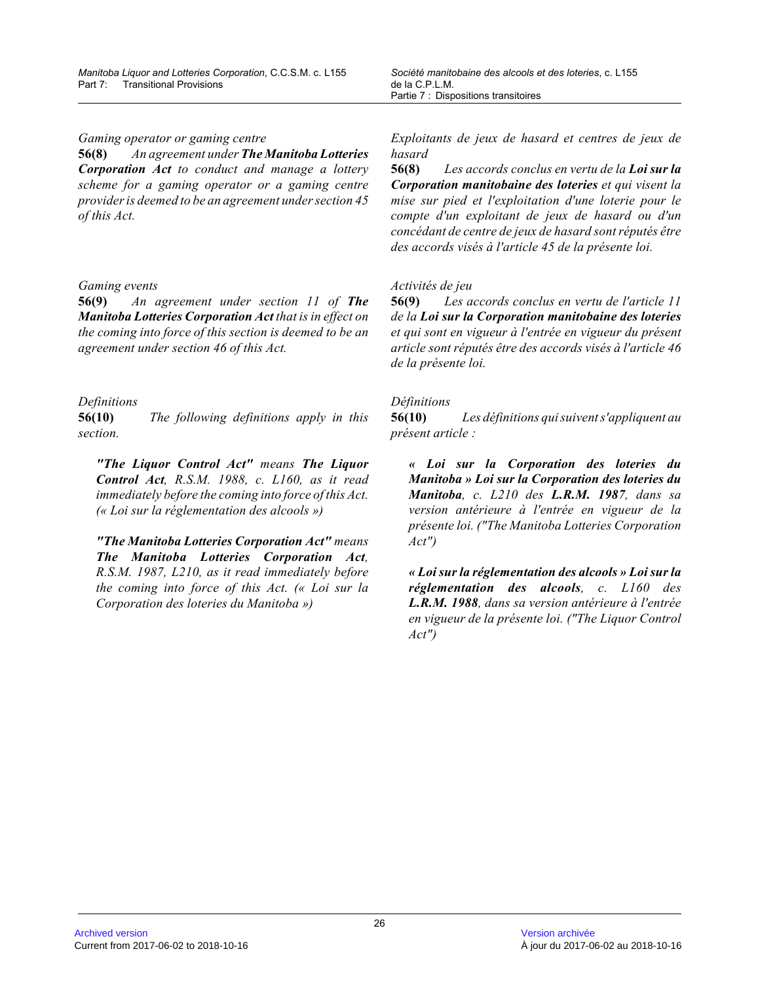*Gaming operator or gaming centre*

**56(8)** *An agreement under The Manitoba Lotteries Corporation Act to conduct and manage a lottery scheme for a gaming operator or a gaming centre provider is deemed to be an agreement under section 45 of this Act.*

#### *Gaming events*

**56(9)** *An agreement under section 11 of The Manitoba Lotteries Corporation Act that is in effect on the coming into force of this section is deemed to be an agreement under section 46 of this Act.*

# *Definitions*

**56(10)** *The following definitions apply in this section.*

*"The Liquor Control Act" means The Liquor Control Act, R.S.M. 1988, c. L160, as it read immediately before the coming into force of this Act. (« Loi sur la réglementation des alcools »)*

*"The Manitoba Lotteries Corporation Act" means The Manitoba Lotteries Corporation Act, R.S.M. 1987, L210, as it read immediately before the coming into force of this Act. (« Loi sur la Corporation des loteries du Manitoba »)*

*Exploitants de jeux de hasard et centres de jeux de hasard*

**56(8)** *Les accords conclus en vertu de la Loi sur la Corporation manitobaine des loteries et qui visent la mise sur pied et l'exploitation d'une loterie pour le compte d'un exploitant de jeux de hasard ou d'un concédant de centre de jeux de hasard sont réputés être des accords visés à l'article 45 de la présente loi.*

# *Activités de jeu*

**56(9)** *Les accords conclus en vertu de l'article 11 de la Loi sur la Corporation manitobaine des loteries et qui sont en vigueur à l'entrée en vigueur du présent article sont réputés être des accords visés à l'article 46 de la présente loi.*

# *Définitions*

**56(10)** *Les définitions qui suivent s'appliquent au présent article :*

*« Loi sur la Corporation des loteries du Manitoba » Loi sur la Corporation des loteries du Manitoba, c. L210 des L.R.M. 1987, dans sa version antérieure à l'entrée en vigueur de la présente loi. ("The Manitoba Lotteries Corporation Act")*

*« Loi sur la réglementation des alcools » Loi sur la réglementation des alcools, c. L160 des L.R.M. 1988, dans sa version antérieure à l'entrée en vigueur de la présente loi. ("The Liquor Control Act")*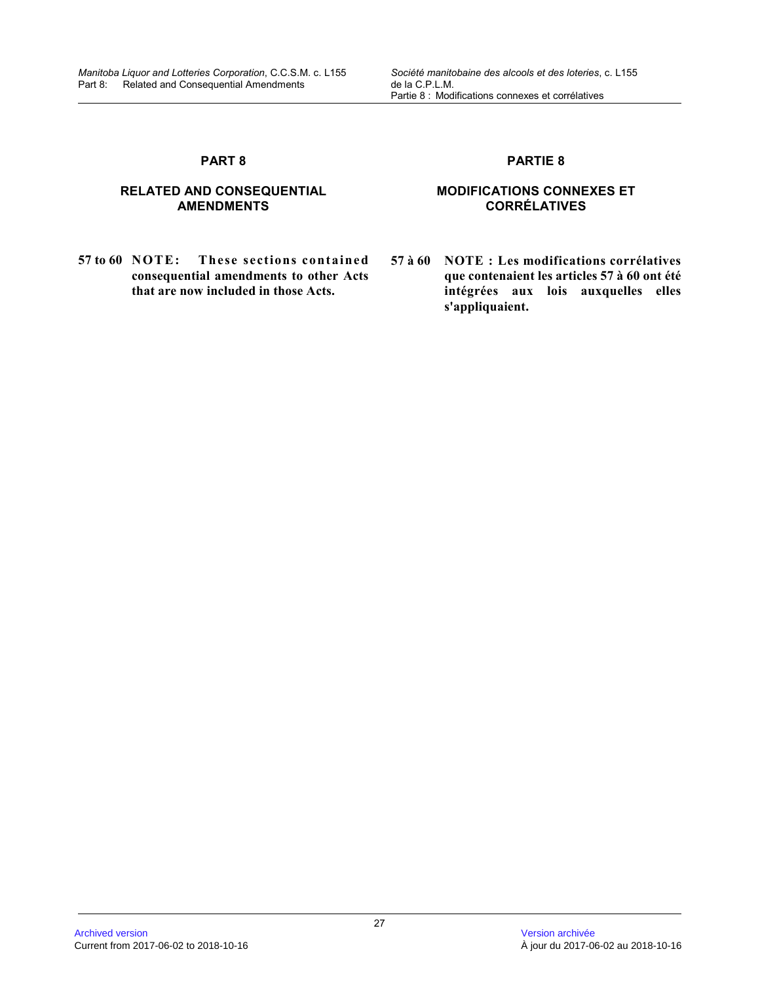# **RELATED AND CONSEQUENTIAL AMENDMENTS**

**57 to 60 NOTE: These sections contained consequential amendments to other Acts that are now included in those Acts.**

# **PARTIE 8**

# **MODIFICATIONS CONNEXES ET CORRÉLATIVES**

**57 à 60 NOTE : Les modifications corrélatives que contenaient les articles 57 à 60 ont été intégrées aux lois auxquelles elles s'appliquaient.**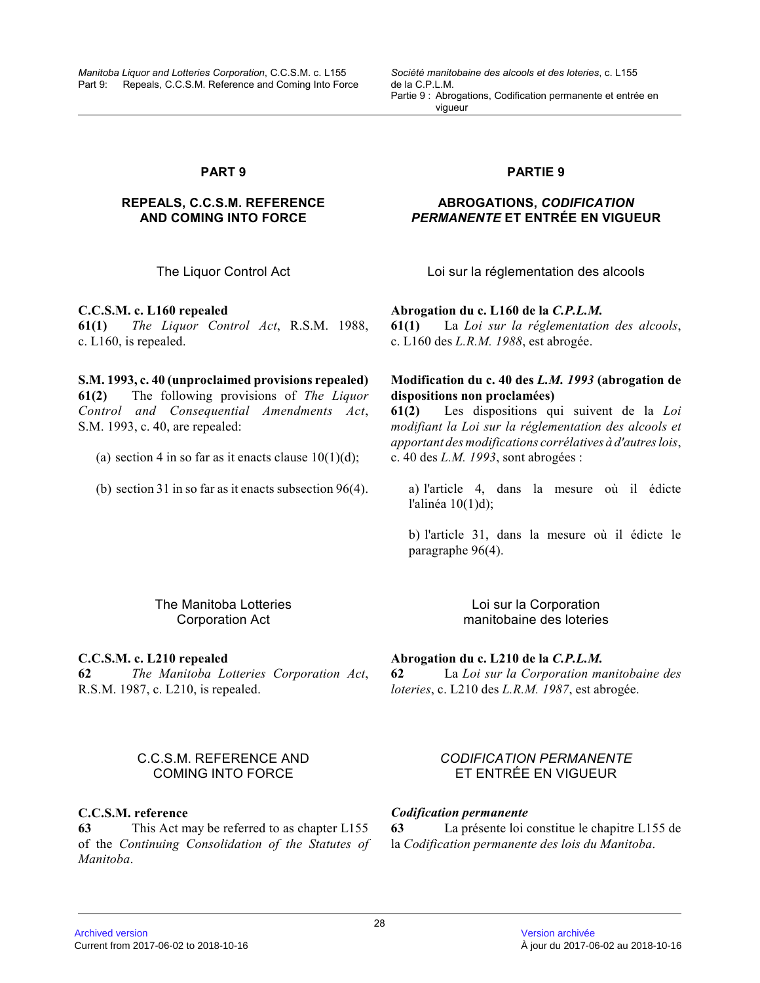*Manitoba Liquor and Lotteries Corporation*, C.C.S.M. c. L155 Part 9: Repeals, C.C.S.M. Reference and Coming Into Force *Société manitobaine des alcools et des loteries*, c. L155 de la C.P.L.M. Partie 9 : Abrogations, Codification permanente et entrée en vigueur

# **PART 9**

# **REPEALS, C.C.S.M. REFERENCE AND COMING INTO FORCE**

**C.C.S.M. c. L160 repealed 61(1)** *The Liquor Control Act*, R.S.M. 1988, c. L160, is repealed.

**S.M. 1993, c. 40 (unproclaimed provisions repealed) 61(2)** The following provisions of *The Liquor Control and Consequential Amendments Act* , S.M. 1993, c. 40, are repealed:

(a) section 4 in so far as it enacts clause  $10(1)(d)$ ;

(b) section 31 in so far as it enacts subsection 96(4).

# **PARTIE 9**

# **ABROGATIONS,** *CODIFICATION PERMANENTE* **ET ENTRÉE EN VIGUEUR**

The Liquor Control Act Loi sur la réglementation des alcools

**Abrogation du c. L160 de la** *C.P.L.M.*

**61(1)** La *Loi sur la réglementation des alcools* , c. L160 des *L.R.M. 1988*, est abrogée.

# **Modification du c. 40 des** *L.M. 1993* **(abrogation de dispositions non proclamées)**

**61(2)** Les dispositions qui suivent de la *Loi modifiant la Loi sur la réglementation des alcools et apportant des modifications corrélatives à d'autres loi s* , c. 40 des *L.M. 1993*, sont abrogées :

a) l'article 4, dans la mesure où il édicte l'alinéa 10(1)d);

b) l'article 31, dans la mesure où il édicte le paragraphe 96(4).

The Manitoba Lotteries Corporation Act

**C.C.S.M. c. L210 repealed 62** *The Manitoba Lotteries Corporation Act* , R.S.M. 1987, c. L210, is repealed.

Loi sur la Corporation manitobaine des loteries

# **Abrogation du c. L210 de la** *C.P.L.M.*

**62** La *Loi sur la Corporation manitobaine des loteries*, c. L210 des *L.R.M. 1987*, est abrogée.

# C.C.S.M. REFERENCE AND COMING INTO FORCE

# **C.C.S.M. reference**

**63** This Act may be referred to as chapter L155 of the *Continuing Consolidation of the Statutes of Manitoba* .

# *CODIFICATION PERMANENTE* ET ENTRÉE EN VIGUEUR

# *Codification permanente*

**63** La présente loi constitue le chapitre L155 de la *Codification permanente des lois du Manitoba* .